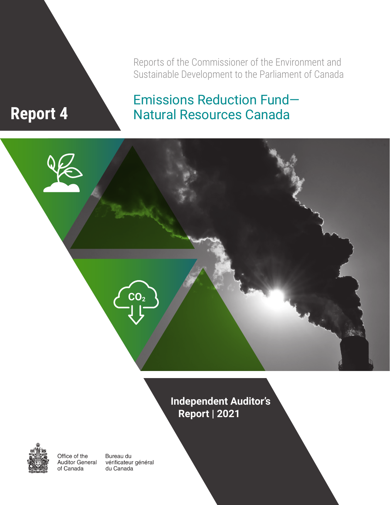Reports of the Commissioner of the Environment and Sustainable Development to the Parliament of Canada

Emissions Reduction Fund—

Natural Resources Canada

# **Report 4**



**Independent Auditor's Report | 2021**



Office of the **Auditor General** of Canada

Bureau du vérificateur général du Canada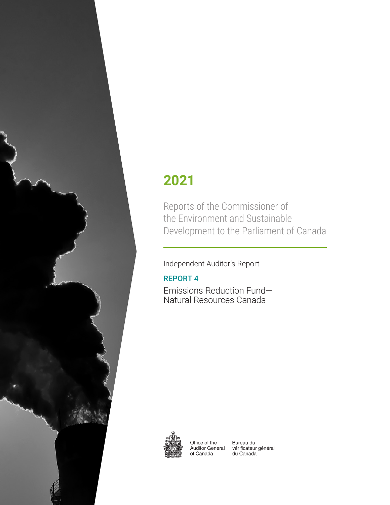

# **2021**

Reports of the Commissioner of the Environment and Sustainable Development to the Parliament of Canada

Independent Auditor's Report

### REPORT 4

Emissions Reduction Fund— Natural Resources Canada



Office of the **Auditor General** of Canada

Bureau du vérificateur général du Canada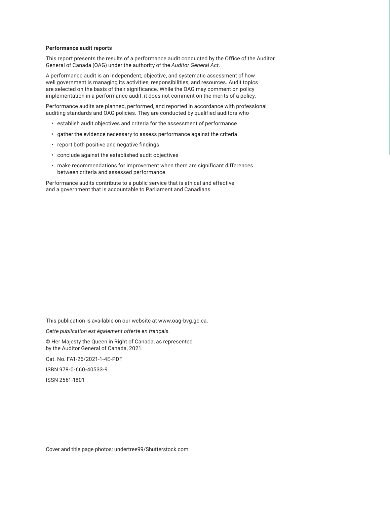#### **Performance audit reports**

This report presents the results of a performance audit conducted by the Office of the Auditor General of Canada (OAG) under the authority of the *Auditor General Act*.

A performance audit is an independent, objective, and systematic assessment of how well government is managing its activities, responsibilities, and resources. Audit topics are selected on the basis of their significance. While the OAG may comment on policy implementation in a performance audit, it does not comment on the merits of a policy.

Performance audits are planned, performed, and reported in accordance with professional auditing standards and OAG policies. They are conducted by qualified auditors who

- establish audit objectives and criteria for the assessment of performance
- gather the evidence necessary to assess performance against the criteria
- report both positive and negative findings
- conclude against the established audit objectives
- make recommendations for improvement when there are significant differences between criteria and assessed performance

Performance audits contribute to a public service that is ethical and effective and a government that is accountable to Parliament and Canadians.

This publication is available on our website at www.oag-bvg.gc.ca.

*Cette publication est également offerte en français.*

© Her Majesty the Queen in Right of Canada, as represented by the Auditor General of Canada, 2021.

Cat. No. FA1-26/2021-1-4E-PDF

ISBN 978-0-660-40533-9

ISSN 2561-1801

Cover and title page photos: undertree99/Shutterstock.com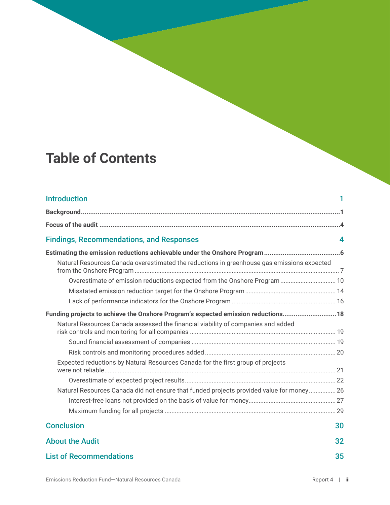# **Table of Contents**

| <b>Introduction</b>                                                                        |    |
|--------------------------------------------------------------------------------------------|----|
|                                                                                            |    |
|                                                                                            |    |
| <b>Findings, Recommendations, and Responses</b>                                            | 4  |
|                                                                                            |    |
| Natural Resources Canada overestimated the reductions in greenhouse gas emissions expected |    |
| Overestimate of emission reductions expected from the Onshore Program 10                   |    |
|                                                                                            |    |
|                                                                                            |    |
| Funding projects to achieve the Onshore Program's expected emission reductions 18          |    |
| Natural Resources Canada assessed the financial viability of companies and added           |    |
|                                                                                            |    |
|                                                                                            |    |
| Expected reductions by Natural Resources Canada for the first group of projects            |    |
|                                                                                            |    |
| Natural Resources Canada did not ensure that funded projects provided value for money 26   |    |
|                                                                                            |    |
|                                                                                            |    |
| <b>Conclusion</b>                                                                          | 30 |
| <b>About the Audit</b>                                                                     | 32 |
| <b>List of Recommendations</b>                                                             | 35 |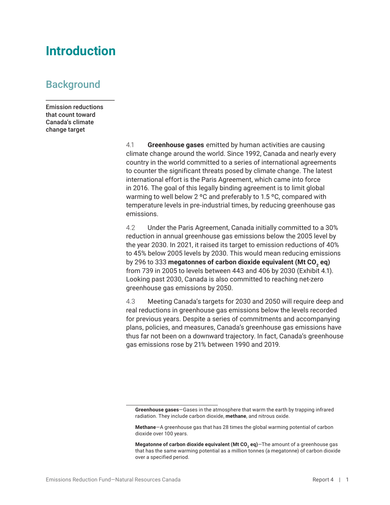## <span id="page-6-0"></span>**Introduction**

### **Background**

Emission reductions that count toward Canada's climate change target

> 4.1 **Greenhouse gases** emitted by human activities are causing climate change around the world. Since 1992, Canada and nearly every country in the world committed to a series of international agreements to counter the significant threats posed by climate change. The latest international effort is the Paris Agreement, which came into force in 2016. The goal of this legally binding agreement is to limit global warming to well below 2 ºC and preferably to 1.5 ºC, compared with temperature levels in pre-industrial times, by reducing greenhouse gas emissions.

4.2 Under the Paris Agreement, Canada initially committed to a 30% reduction in annual greenhouse gas emissions below the 2005 level by the year 2030. In 2021, it raised its target to emission reductions of 40% to 45% below 2005 levels by 2030. This would mean reducing emissions by 296 to 333 **megatonnes of carbon dioxide equivalent (Mt CO2 eq)** from 739 in 2005 to levels between 443 and 406 by 2030 (Exhibit 4.1). Looking past 2030, Canada is also committed to reaching net-zero greenhouse gas emissions by 2050.

4.3 Meeting Canada's targets for 2030 and 2050 will require deep and real reductions in greenhouse gas emissions below the levels recorded for previous years. Despite a series of commitments and accompanying plans, policies, and measures, Canada's greenhouse gas emissions have thus far not been on a downward trajectory. In fact, Canada's greenhouse gas emissions rose by 21% between 1990 and 2019.

**Greenhouse gases**—Gases in the atmosphere that warm the earth by trapping infrared radiation. They include carbon dioxide, **methane**, and nitrous oxide.

**Methane**—A greenhouse gas that has 28 times the global warming potential of carbon dioxide over 100 years.

**Megatonne of carbon dioxide equivalent (Mt CO<sub>2</sub>** eq) - The amount of a greenhouse gas that has the same warming potential as a million tonnes (a megatonne) of carbon dioxide over a specified period.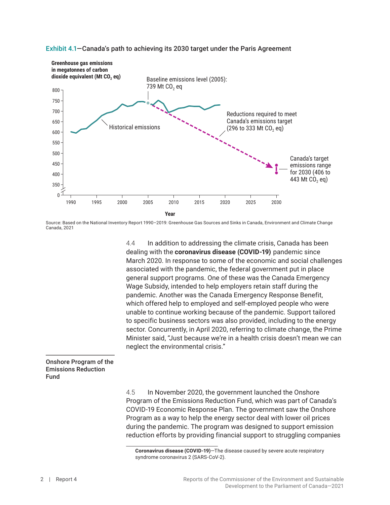

#### Exhibit 4.1—Canada's path to achieving its 2030 target under the Paris Agreement

Source: Based on the National Inventory Report 1990–2019: Greenhouse Gas Sources and Sinks in Canada, Environment and Climate Change Canada, 2021

4.4 In addition to addressing the climate crisis, Canada has been dealing with the **coronavirus disease (COVID-19)** pandemic since March 2020. In response to some of the economic and social challenges associated with the pandemic, the federal government put in place general support programs. One of these was the Canada Emergency Wage Subsidy, intended to help employers retain staff during the pandemic. Another was the Canada Emergency Response Benefit, which offered help to employed and self-employed people who were unable to continue working because of the pandemic. Support tailored to specific business sectors was also provided, including to the energy sector. Concurrently, in April 2020, referring to climate change, the Prime Minister said, "Just because we're in a health crisis doesn't mean we can neglect the environmental crisis."

#### Onshore Program of the Emissions Reduction Fund

4.5 In November 2020, the government launched the Onshore Program of the Emissions Reduction Fund, which was part of Canada's COVID-19 Economic Response Plan. The government saw the Onshore Program as a way to help the energy sector deal with lower oil prices during the pandemic. The program was designed to support emission reduction efforts by providing financial support to struggling companies

**Coronavirus disease (COVID-19)**—The disease caused by severe acute respiratory syndrome coronavirus 2 (SARS-CoV-2).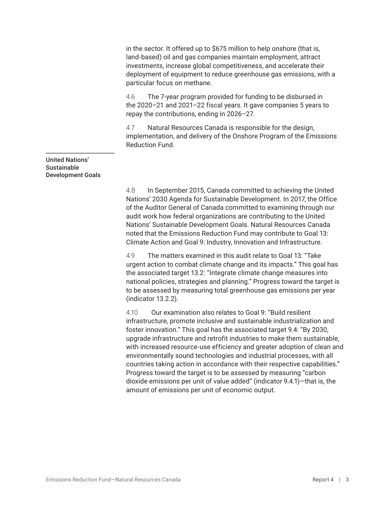in the sector. It offered up to \$675 million to help onshore (that is, land-based) oil and gas companies maintain employment, attract investments, increase global competitiveness, and accelerate their deployment of equipment to reduce greenhouse gas emissions, with a particular focus on methane.

4.6 The 7-year program provided for funding to be disbursed in the 2020–21 and 2021–22 fiscal years. It gave companies 5 years to repay the contributions, ending in 2026–27.

4.7 Natural Resources Canada is responsible for the design, implementation, and delivery of the Onshore Program of the Emissions Reduction Fund.

#### United Nations' Sustainable Development Goals

4.8 In September 2015, Canada committed to achieving the United Nations' 2030 Agenda for Sustainable Development. In 2017, the Office of the Auditor General of Canada committed to examining through our audit work how federal organizations are contributing to the United Nations' Sustainable Development Goals. Natural Resources Canada noted that the Emissions Reduction Fund may contribute to Goal 13: Climate Action and Goal 9: Industry, Innovation and Infrastructure.

4.9 The matters examined in this audit relate to Goal 13: "Take urgent action to combat climate change and its impacts." This goal has the associated target 13.2: "Integrate climate change measures into national policies, strategies and planning." Progress toward the target is to be assessed by measuring total greenhouse gas emissions per year (indicator 13.2.2).

4.10 Our examination also relates to Goal 9: "Build resilient infrastructure, promote inclusive and sustainable industrialization and foster innovation." This goal has the associated target 9.4: "By 2030, upgrade infrastructure and retrofit industries to make them sustainable, with increased resource-use efficiency and greater adoption of clean and environmentally sound technologies and industrial processes, with all countries taking action in accordance with their respective capabilities." Progress toward the target is to be assessed by measuring "carbon dioxide emissions per unit of value added" (indicator 9.4.1)—that is, the amount of emissions per unit of economic output.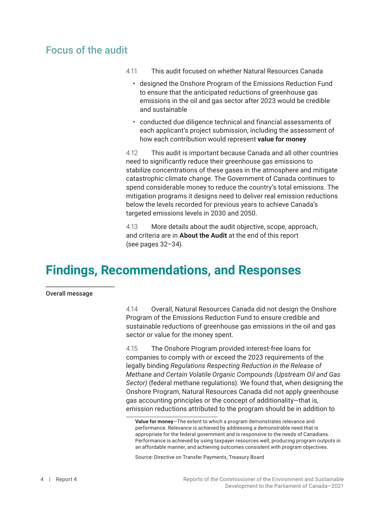### <span id="page-9-0"></span>Focus of the audit

- 4.11 This audit focused on whether Natural Resources Canada
	- designed the Onshore Program of the Emissions Reduction Fund to ensure that the anticipated reductions of greenhouse gas emissions in the oil and gas sector after 2023 would be credible and sustainable
	- conducted due diligence technical and financial assessments of each applicant's project submission, including the assessment of how each contribution would represent **value for money**

4.12 This audit is important because Canada and all other countries need to significantly reduce their greenhouse gas emissions to stabilize concentrations of these gases in the atmosphere and mitigate catastrophic climate change. The Government of Canada continues to spend considerable money to reduce the country's total emissions. The mitigation programs it designs need to deliver real emission reductions below the levels recorded for previous years to achieve Canada's targeted emissions levels in 2030 and 2050.

4.13 More details about the audit objective, scope, approach, and criteria are in **About the Audit** at the end of this report (see pages 32–34).

## **Findings, Recommendations, and Responses**

Overall message

4.14 Overall, Natural Resources Canada did not design the Onshore Program of the Emissions Reduction Fund to ensure credible and sustainable reductions of greenhouse gas emissions in the oil and gas sector or value for the money spent.

4.15 The Onshore Program provided interest-free loans for companies to comply with or exceed the 2023 requirements of the legally binding *Regulations Respecting Reduction in the Release of Methane and Certain Volatile Organic Compounds (Upstream Oil and Gas Sector)* (federal methane regulations). We found that, when designing the Onshore Program, Natural Resources Canada did not apply greenhouse gas accounting principles or the concept of additionality—that is, emission reductions attributed to the program should be in addition to

**Value for money**—The extent to which a program demonstrates relevance and performance. Relevance is achieved by addressing a demonstrable need that is appropriate for the federal government and is responsive to the needs of Canadians. Performance is achieved by using taxpayer resources well, producing program outputs in an affordable manner, and achieving outcomes consistent with program objectives.

Source: Directive on Transfer Payments, Treasury Board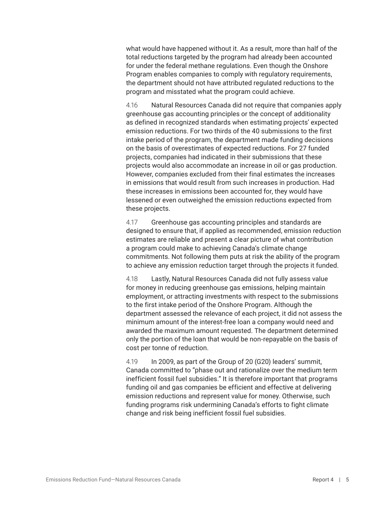what would have happened without it. As a result, more than half of the total reductions targeted by the program had already been accounted for under the federal methane regulations. Even though the Onshore Program enables companies to comply with regulatory requirements, the department should not have attributed regulated reductions to the program and misstated what the program could achieve.

4.16 Natural Resources Canada did not require that companies apply greenhouse gas accounting principles or the concept of additionality as defined in recognized standards when estimating projects' expected emission reductions. For two thirds of the 40 submissions to the first intake period of the program, the department made funding decisions on the basis of overestimates of expected reductions. For 27 funded projects, companies had indicated in their submissions that these projects would also accommodate an increase in oil or gas production. However, companies excluded from their final estimates the increases in emissions that would result from such increases in production. Had these increases in emissions been accounted for, they would have lessened or even outweighed the emission reductions expected from these projects.

4.17 Greenhouse gas accounting principles and standards are designed to ensure that, if applied as recommended, emission reduction estimates are reliable and present a clear picture of what contribution a program could make to achieving Canada's climate change commitments. Not following them puts at risk the ability of the program to achieve any emission reduction target through the projects it funded.

4.18 Lastly, Natural Resources Canada did not fully assess value for money in reducing greenhouse gas emissions, helping maintain employment, or attracting investments with respect to the submissions to the first intake period of the Onshore Program. Although the department assessed the relevance of each project, it did not assess the minimum amount of the interest-free loan a company would need and awarded the maximum amount requested. The department determined only the portion of the loan that would be non-repayable on the basis of cost per tonne of reduction.

4.19 In 2009, as part of the Group of 20 (G20) leaders' summit, Canada committed to "phase out and rationalize over the medium term inefficient fossil fuel subsidies." It is therefore important that programs funding oil and gas companies be efficient and effective at delivering emission reductions and represent value for money. Otherwise, such funding programs risk undermining Canada's efforts to fight climate change and risk being inefficient fossil fuel subsidies.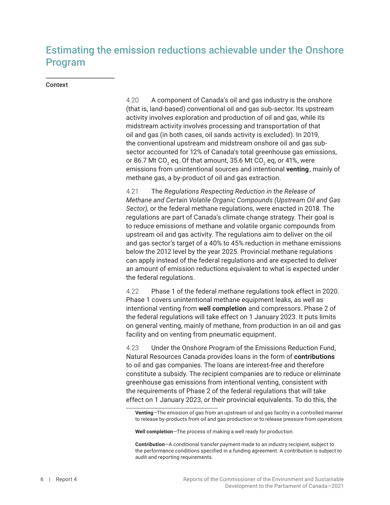## <span id="page-11-0"></span>Estimating the emission reductions achievable under the Onshore Program

#### Context

4.20 A component of Canada's oil and gas industry is the onshore (that is, land-based) conventional oil and gas sub-sector. Its upstream activity involves exploration and production of oil and gas, while its midstream activity involves processing and transportation of that oil and gas (in both cases, oil sands activity is excluded). In 2019, the conventional upstream and midstream onshore oil and gas subsector accounted for 12% of Canada's total greenhouse gas emissions, or 86.7 Mt CO $_{_2}$  eq. Of that amount, 35.6 Mt CO $_{_2}$  eq, or 41%, were emissions from unintentional sources and intentional venting, mainly of methane gas, a by‑product of oil and gas extraction.

4.21 The *Regulations Respecting Reduction in the Release of Methane and Certain Volatile Organic Compounds (Upstream Oil and Gas Sector)*, or the federal methane regulations, were enacted in 2018. The regulations are part of Canada's climate change strategy. Their goal is to reduce emissions of methane and volatile organic compounds from upstream oil and gas activity. The regulations aim to deliver on the oil and gas sector's target of a 40% to 45% reduction in methane emissions below the 2012 level by the year 2025. Provincial methane regulations can apply instead of the federal regulations and are expected to deliver an amount of emission reductions equivalent to what is expected under the federal regulations.

4.22 Phase 1 of the federal methane regulations took effect in 2020. Phase 1 covers unintentional methane equipment leaks, as well as intentional venting from **well completion** and compressors. Phase 2 of the federal regulations will take effect on 1 January 2023. It puts limits on general venting, mainly of methane, from production in an oil and gas facility and on venting from pneumatic equipment.

4.23 Under the Onshore Program of the Emissions Reduction Fund, Natural Resources Canada provides loans in the form of **contributions** to oil and gas companies. The loans are interest-free and therefore constitute a subsidy. The recipient companies are to reduce or eliminate greenhouse gas emissions from intentional venting, consistent with the requirements of Phase 2 of the federal regulations that will take effect on 1 January 2023, or their provincial equivalents. To do this, the

**Venting**—The emission of gas from an upstream oil and gas facility in a controlled manner to release by-products from oil and gas production or to release pressure from operations.

**Well completion**—The process of making a well ready for production.

**Contribution**—A conditional transfer payment made to an industry recipient, subject to the performance conditions specified in a funding agreement. A contribution is subject to audit and reporting requirements.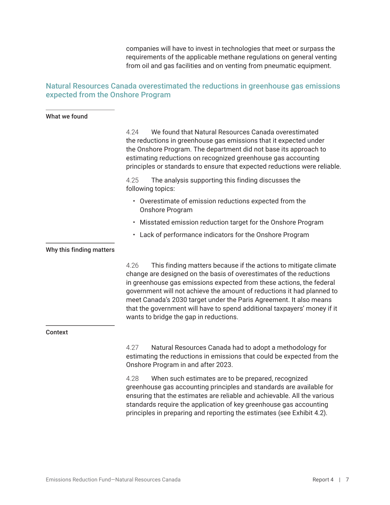companies will have to invest in technologies that meet or surpass the requirements of the applicable methane regulations on general venting from oil and gas facilities and on venting from pneumatic equipment.

### <span id="page-12-0"></span>Natural Resources Canada overestimated the reductions in greenhouse gas emissions expected from the Onshore Program

#### What we found

4.24 We found that Natural Resources Canada overestimated the reductions in greenhouse gas emissions that it expected under the Onshore Program. The department did not base its approach to estimating reductions on recognized greenhouse gas accounting principles or standards to ensure that expected reductions were reliable.

4.25 The analysis supporting this finding discusses the following topics:

- Overestimate of emission reductions expected from the Onshore Program
- Misstated emission reduction target for the Onshore Program
- Lack of performance indicators for the Onshore Program

#### Why this finding matters

4.26 This finding matters because if the actions to mitigate climate change are designed on the basis of overestimates of the reductions in greenhouse gas emissions expected from these actions, the federal government will not achieve the amount of reductions it had planned to meet Canada's 2030 target under the Paris Agreement. It also means that the government will have to spend additional taxpayers' money if it wants to bridge the gap in reductions.

#### Context

4.27 Natural Resources Canada had to adopt a methodology for estimating the reductions in emissions that could be expected from the Onshore Program in and after 2023.

4.28 When such estimates are to be prepared, recognized greenhouse gas accounting principles and standards are available for ensuring that the estimates are reliable and achievable. All the various standards require the application of key greenhouse gas accounting principles in preparing and reporting the estimates (see Exhibit 4.2).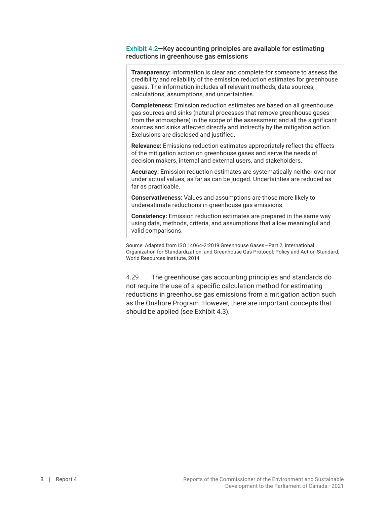#### Exhibit 4.2—Key accounting principles are available for estimating reductions in greenhouse gas emissions

**Transparency:** Information is clear and complete for someone to assess the credibility and reliability of the emission reduction estimates for greenhouse gases. The information includes all relevant methods, data sources, calculations, assumptions, and uncertainties.

**Completeness:** Emission reduction estimates are based on all greenhouse gas sources and sinks (natural processes that remove greenhouse gases from the atmosphere) in the scope of the assessment and all the significant sources and sinks affected directly and indirectly by the mitigation action. Exclusions are disclosed and justified.

**Relevance:** Emissions reduction estimates appropriately reflect the effects of the mitigation action on greenhouse gases and serve the needs of decision makers, internal and external users, and stakeholders.

**Accuracy:** Emission reduction estimates are systematically neither over nor under actual values, as far as can be judged. Uncertainties are reduced as far as practicable.

**Conservativeness:** Values and assumptions are those more likely to underestimate reductions in greenhouse gas emissions.

**Consistency:** Emission reduction estimates are prepared in the same way using data, methods, criteria, and assumptions that allow meaningful and valid comparisons.

Source: Adapted from ISO 14064-2:2019 Greenhouse Gases—Part 2, International Organization for Standardization; and Greenhouse Gas Protocol: Policy and Action Standard, World Resources Institute, 2014

4.29 The greenhouse gas accounting principles and standards do not require the use of a specific calculation method for estimating reductions in greenhouse gas emissions from a mitigation action such as the Onshore Program. However, there are important concepts that should be applied (see Exhibit 4.3).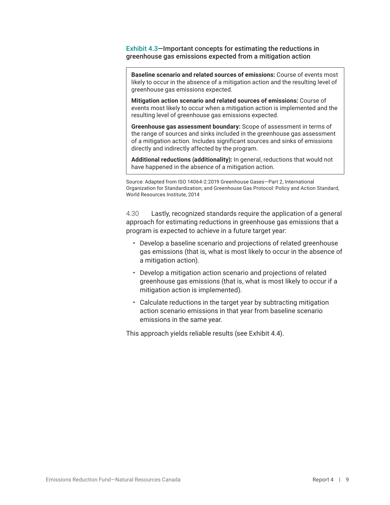Exhibit 4.3—Important concepts for estimating the reductions in greenhouse gas emissions expected from a mitigation action

**Baseline scenario and related sources of emissions:** Course of events most likely to occur in the absence of a mitigation action and the resulting level of greenhouse gas emissions expected.

**Mitigation action scenario and related sources of emissions:** Course of events most likely to occur when a mitigation action is implemented and the resulting level of greenhouse gas emissions expected.

**Greenhouse gas assessment boundary:** Scope of assessment in terms of the range of sources and sinks included in the greenhouse gas assessment of a mitigation action. Includes significant sources and sinks of emissions directly and indirectly affected by the program.

**Additional reductions (additionality):** In general, reductions that would not have happened in the absence of a mitigation action.

Source: Adapted from ISO 14064-2:2019 Greenhouse Gases—Part 2, International Organization for Standardization; and Greenhouse Gas Protocol: Policy and Action Standard, World Resources Institute, 2014

4.30 Lastly, recognized standards require the application of a general approach for estimating reductions in greenhouse gas emissions that a program is expected to achieve in a future target year:

- Develop a baseline scenario and projections of related greenhouse gas emissions (that is, what is most likely to occur in the absence of a mitigation action).
- Develop a mitigation action scenario and projections of related greenhouse gas emissions (that is, what is most likely to occur if a mitigation action is implemented).
- Calculate reductions in the target year by subtracting mitigation action scenario emissions in that year from baseline scenario emissions in the same year.

This approach yields reliable results (see Exhibit 4.4).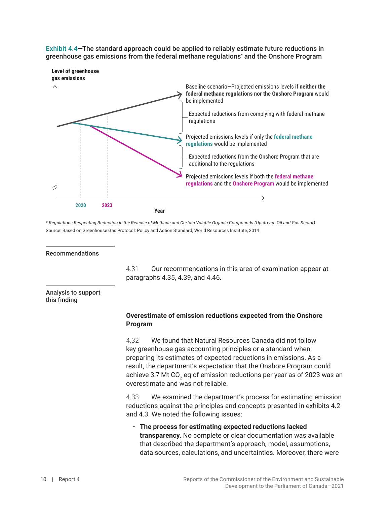<span id="page-15-0"></span>Exhibit 4.4—The standard approach could be applied to reliably estimate future reductions in greenhouse gas emissions from the federal methane regulations\* and the Onshore Program



\* *Regulations Respecting Reduction in the Release of Methane and Certain Volatile Organic Compounds (Upstream Oil and Gas Sector)* Source: Based on Greenhouse Gas Protocol: Policy and Action Standard, World Resources Institute, 2014

#### Recommendations

4.31 Our recommendations in this area of examination appear at paragraphs 4.35, 4.39, and 4.46.

#### Analysis to support this finding

#### **Overestimate of emission reductions expected from the Onshore Program**

4.32 We found that Natural Resources Canada did not follow key greenhouse gas accounting principles or a standard when preparing its estimates of expected reductions in emissions. As a result, the department's expectation that the Onshore Program could achieve 3.7 Mt CO $_{\textrm{\tiny{2}}}$  eq of emission reductions per year as of 2023 was an overestimate and was not reliable.

4.33 We examined the department's process for estimating emission reductions against the principles and concepts presented in exhibits 4.2 and 4.3. We noted the following issues:

• **The process for estimating expected reductions lacked transparency.** No complete or clear documentation was available that described the department's approach, model, assumptions, data sources, calculations, and uncertainties. Moreover, there were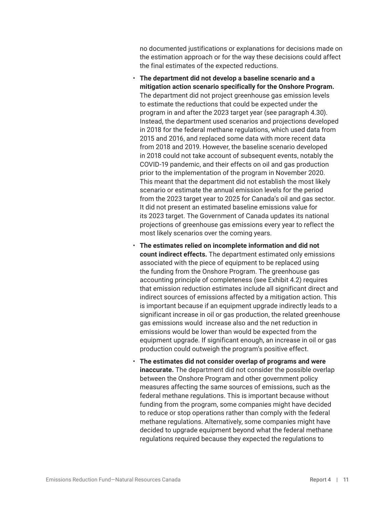no documented justifications or explanations for decisions made on the estimation approach or for the way these decisions could affect the final estimates of the expected reductions.

- **The department did not develop a baseline scenario and a mitigation action scenario specifically for the Onshore Program.** The department did not project greenhouse gas emission levels to estimate the reductions that could be expected under the program in and after the 2023 target year (see paragraph 4.30). Instead, the department used scenarios and projections developed in 2018 for the federal methane regulations, which used data from 2015 and 2016, and replaced some data with more recent data from 2018 and 2019. However, the baseline scenario developed in 2018 could not take account of subsequent events, notably the COVID-19 pandemic, and their effects on oil and gas production prior to the implementation of the program in November 2020. This meant that the department did not establish the most likely scenario or estimate the annual emission levels for the period from the 2023 target year to 2025 for Canada's oil and gas sector. It did not present an estimated baseline emissions value for its 2023 target. The Government of Canada updates its national projections of greenhouse gas emissions every year to reflect the most likely scenarios over the coming years.
- **The estimates relied on incomplete information and did not count indirect effects.** The department estimated only emissions associated with the piece of equipment to be replaced using the funding from the Onshore Program. The greenhouse gas accounting principle of completeness (see Exhibit 4.2) requires that emission reduction estimates include all significant direct and indirect sources of emissions affected by a mitigation action. This is important because if an equipment upgrade indirectly leads to a significant increase in oil or gas production, the related greenhouse gas emissions would increase also and the net reduction in emissions would be lower than would be expected from the equipment upgrade. If significant enough, an increase in oil or gas production could outweigh the program's positive effect.
- **The estimates did not consider overlap of programs and were inaccurate.** The department did not consider the possible overlap between the Onshore Program and other government policy measures affecting the same sources of emissions, such as the federal methane regulations. This is important because without funding from the program, some companies might have decided to reduce or stop operations rather than comply with the federal methane regulations. Alternatively, some companies might have decided to upgrade equipment beyond what the federal methane regulations required because they expected the regulations to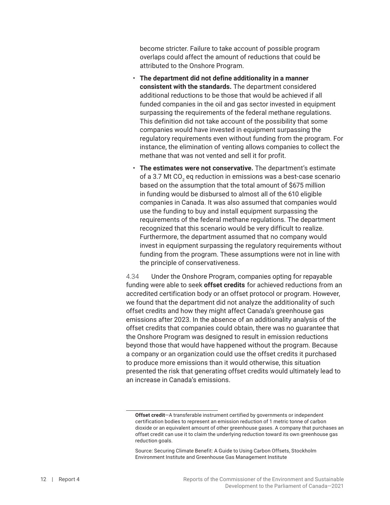become stricter. Failure to take account of possible program overlaps could affect the amount of reductions that could be attributed to the Onshore Program.

- **The department did not define additionality in a manner consistent with the standards.** The department considered additional reductions to be those that would be achieved if all funded companies in the oil and gas sector invested in equipment surpassing the requirements of the federal methane regulations. This definition did not take account of the possibility that some companies would have invested in equipment surpassing the regulatory requirements even without funding from the program. For instance, the elimination of venting allows companies to collect the methane that was not vented and sell it for profit.
- **The estimates were not conservative.** The department's estimate of a 3.7 Mt CO $_{\textrm{\tiny{2}}}$  eq reduction in emissions was a best-case scenario based on the assumption that the total amount of \$675 million in funding would be disbursed to almost all of the 610 eligible companies in Canada. It was also assumed that companies would use the funding to buy and install equipment surpassing the requirements of the federal methane regulations. The department recognized that this scenario would be very difficult to realize. Furthermore, the department assumed that no company would invest in equipment surpassing the regulatory requirements without funding from the program. These assumptions were not in line with the principle of conservativeness.

4.34 Under the Onshore Program, companies opting for repayable funding were able to seek **offset credits** for achieved reductions from an accredited certification body or an offset protocol or program. However, we found that the department did not analyze the additionality of such offset credits and how they might affect Canada's greenhouse gas emissions after 2023. In the absence of an additionality analysis of the offset credits that companies could obtain, there was no guarantee that the Onshore Program was designed to result in emission reductions beyond those that would have happened without the program. Because a company or an organization could use the offset credits it purchased to produce more emissions than it would otherwise, this situation presented the risk that generating offset credits would ultimately lead to an increase in Canada's emissions.

**Offset credit**—A transferable instrument certified by governments or independent certification bodies to represent an emission reduction of 1 metric tonne of carbon dioxide or an equivalent amount of other greenhouse gases. A company that purchases an offset credit can use it to claim the underlying reduction toward its own greenhouse gas reduction goals.

Source: Securing Climate Benefit: A Guide to Using Carbon Offsets, Stockholm Environment Institute and Greenhouse Gas Management Institute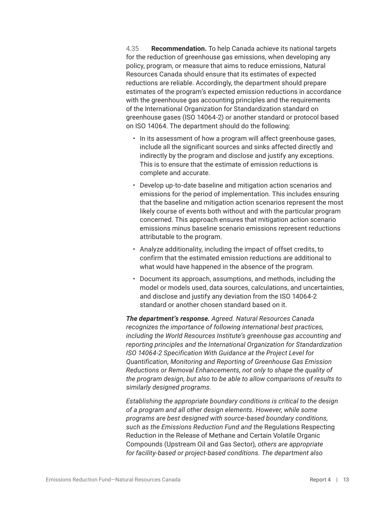4.35 **Recommendation.** To help Canada achieve its national targets for the reduction of greenhouse gas emissions, when developing any policy, program, or measure that aims to reduce emissions, Natural Resources Canada should ensure that its estimates of expected reductions are reliable. Accordingly, the department should prepare estimates of the program's expected emission reductions in accordance with the greenhouse gas accounting principles and the requirements of the International Organization for Standardization standard on greenhouse gases (ISO 14064-2) or another standard or protocol based on ISO 14064. The department should do the following:

- In its assessment of how a program will affect greenhouse gases, include all the significant sources and sinks affected directly and indirectly by the program and disclose and justify any exceptions. This is to ensure that the estimate of emission reductions is complete and accurate.
- Develop up-to-date baseline and mitigation action scenarios and emissions for the period of implementation. This includes ensuring that the baseline and mitigation action scenarios represent the most likely course of events both without and with the particular program concerned. This approach ensures that mitigation action scenario emissions minus baseline scenario emissions represent reductions attributable to the program.
- Analyze additionality, including the impact of offset credits, to confirm that the estimated emission reductions are additional to what would have happened in the absence of the program.
- Document its approach, assumptions, and methods, including the model or models used, data sources, calculations, and uncertainties, and disclose and justify any deviation from the ISO 14064-2 standard or another chosen standard based on it.

*The department's response. Agreed. Natural Resources Canada recognizes the importance of following international best practices, including the World Resources Institute's greenhouse gas accounting and reporting principles and the International Organization for Standardization ISO 14064-2 Specification With Guidance at the Project Level for Quantification, Monitoring and Reporting of Greenhouse Gas Emission Reductions or Removal Enhancements, not only to shape the quality of the program design, but also to be able to allow comparisons of results to similarly designed programs.*

*Establishing the appropriate boundary conditions is critical to the design of a program and all other design elements. However, while some programs are best designed with source-based boundary conditions, such as the Emissions Reduction Fund and the* Regulations Respecting Reduction in the Release of Methane and Certain Volatile Organic Compounds (Upstream Oil and Gas Sector)*, others are appropriate for facility-based or project-based conditions. The department also*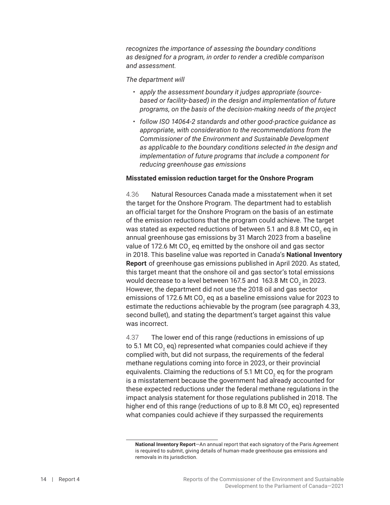<span id="page-19-0"></span>*recognizes the importance of assessing the boundary conditions as designed for a program, in order to render a credible comparison and assessment.*

*The department will*

- *• apply the assessment boundary it judges appropriate (sourcebased or facility-based) in the design and implementation of future programs, on the basis of the decision-making needs of the project*
- *• follow ISO 14064-2 standards and other good-practice guidance as appropriate, with consideration to the recommendations from the Commissioner of the Environment and Sustainable Development as applicable to the boundary conditions selected in the design and implementation of future programs that include a component for reducing greenhouse gas emissions*

#### **Misstated emission reduction target for the Onshore Program**

4.36 Natural Resources Canada made a misstatement when it set the target for the Onshore Program. The department had to establish an official target for the Onshore Program on the basis of an estimate of the emission reductions that the program could achieve. The target was stated as expected reductions of between 5.1 and 8.8 Mt CO $_{\textrm{\tiny{2}}}$  eq in annual greenhouse gas emissions by 31 March 2023 from a baseline value of 172.6 Mt CO $_{\textrm{\tiny{2}}}$  eq emitted by the onshore oil and gas sector in 2018. This baseline value was reported in Canada's **National Inventory Report** of greenhouse gas emissions published in April 2020. As stated, this target meant that the onshore oil and gas sector's total emissions would decrease to a level between 167.5 and  $\,$  163.8 Mt CO $_2$  in 2023. However, the department did not use the 2018 oil and gas sector emissions of 172.6 Mt CO $_{\textrm{\tiny{2}}}$  eq as a baseline emissions value for 2023 to estimate the reductions achievable by the program (see paragraph 4.33, second bullet), and stating the department's target against this value was incorrect.

4.37 The lower end of this range (reductions in emissions of up to 5.1 Mt CO $_{\textrm{\tiny{2}}}$  eq) represented what companies could achieve if they complied with, but did not surpass, the requirements of the federal methane regulations coming into force in 2023, or their provincial equivalents. Claiming the reductions of 5.1 Mt CO $_{\rm 2}$  eq for the program is a misstatement because the government had already accounted for these expected reductions under the federal methane regulations in the impact analysis statement for those regulations published in 2018. The higher end of this range (reductions of up to 8.8 Mt CO $_2$  eq) represented what companies could achieve if they surpassed the requirements

**National Inventory Report**—An annual report that each signatory of the Paris Agreement is required to submit, giving details of human-made greenhouse gas emissions and removals in its jurisdiction.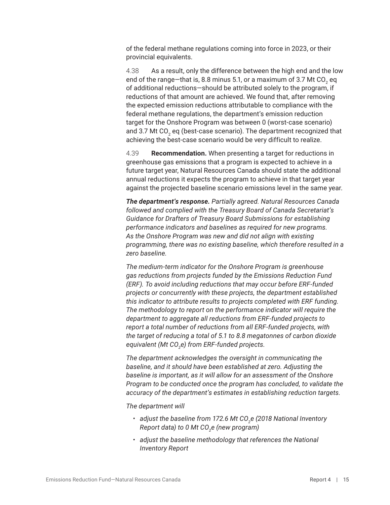of the federal methane regulations coming into force in 2023, or their provincial equivalents.

4.38 As a result, only the difference between the high end and the low end of the range—that is, 8.8 minus 5.1, or a maximum of 3.7 Mt CO $_{_2}$  eq of additional reductions—should be attributed solely to the program, if reductions of that amount are achieved. We found that, after removing the expected emission reductions attributable to compliance with the federal methane regulations, the department's emission reduction target for the Onshore Program was between 0 (worst-case scenario) and 3.7 Mt CO $_{\textrm{\tiny{2}}}$  eq (best-case scenario). The department recognized that achieving the best-case scenario would be very difficult to realize.

4.39 **Recommendation.** When presenting a target for reductions in greenhouse gas emissions that a program is expected to achieve in a future target year, Natural Resources Canada should state the additional annual reductions it expects the program to achieve in that target year against the projected baseline scenario emissions level in the same year.

*The department's response. Partially agreed. Natural Resources Canada followed and complied with the Treasury Board of Canada Secretariat's Guidance for Drafters of Treasury Board Submissions for establishing performance indicators and baselines as required for new programs. As the Onshore Program was new and did not align with existing programming, there was no existing baseline, which therefore resulted in a zero baseline.*

*The medium-term indicator for the Onshore Program is greenhouse gas reductions from projects funded by the Emissions Reduction Fund (ERF). To avoid including reductions that may occur before ERF-funded projects or concurrently with these projects, the department established this indicator to attribute results to projects completed with ERF funding. The methodology to report on the performance indicator will require the department to aggregate all reductions from ERF-funded projects to report a total number of reductions from all ERF-funded projects, with the target of reducing a total of 5.1 to 8.8 megatonnes of carbon dioxide equivalent (Mt CO2 e) from ERF-funded projects.*

*The department acknowledges the oversight in communicating the baseline, and it should have been established at zero. Adjusting the baseline is important, as it will allow for an assessment of the Onshore Program to be conducted once the program has concluded, to validate the accuracy of the department's estimates in establishing reduction targets.*

*The department will*

- adjust the baseline from 172.6 Mt CO<sub>2</sub>e (2018 National Inventory *Report data) to 0 Mt CO2 e (new program)*
- *• adjust the baseline methodology that references the National Inventory Report*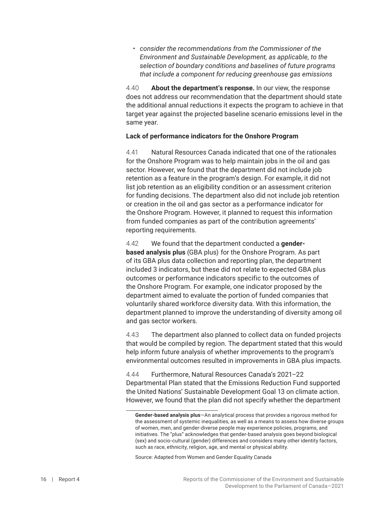<span id="page-21-0"></span>*• consider the recommendations from the Commissioner of the Environment and Sustainable Development, as applicable, to the selection of boundary conditions and baselines of future programs that include a component for reducing greenhouse gas emissions*

4.40 **About the department's response.** In our view, the response does not address our recommendation that the department should state the additional annual reductions it expects the program to achieve in that target year against the projected baseline scenario emissions level in the same year.

#### **Lack of performance indicators for the Onshore Program**

4.41 Natural Resources Canada indicated that one of the rationales for the Onshore Program was to help maintain jobs in the oil and gas sector. However, we found that the department did not include job retention as a feature in the program's design. For example, it did not list job retention as an eligibility condition or an assessment criterion for funding decisions. The department also did not include job retention or creation in the oil and gas sector as a performance indicator for the Onshore Program. However, it planned to request this information from funded companies as part of the contribution agreements' reporting requirements.

4.42 We found that the department conducted a **genderbased analysis plus** (GBA plus) for the Onshore Program. As part of its GBA plus data collection and reporting plan, the department included 3 indicators, but these did not relate to expected GBA plus outcomes or performance indicators specific to the outcomes of the Onshore Program. For example, one indicator proposed by the department aimed to evaluate the portion of funded companies that voluntarily shared workforce diversity data. With this information, the department planned to improve the understanding of diversity among oil and gas sector workers.

4.43 The department also planned to collect data on funded projects that would be compiled by region. The department stated that this would help inform future analysis of whether improvements to the program's environmental outcomes resulted in improvements in GBA plus impacts.

4.44 Furthermore, Natural Resources Canada's 2021–22 Departmental Plan stated that the Emissions Reduction Fund supported the United Nations' Sustainable Development Goal 13 on climate action. However, we found that the plan did not specify whether the department

Source: Adapted from Women and Gender Equality Canada

**Gender-based analysis plus**—An analytical process that provides a rigorous method for the assessment of systemic inequalities, as well as a means to assess how diverse groups of women, men, and gender-diverse people may experience policies, programs, and initiatives. The "plus" acknowledges that gender-based analysis goes beyond biological (sex) and socio-cultural (gender) differences and considers many other identity factors, such as race, ethnicity, religion, age, and mental or physical ability.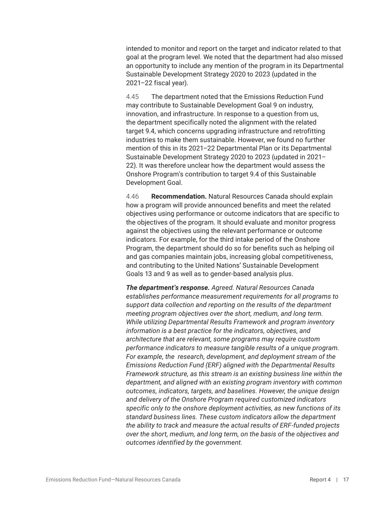intended to monitor and report on the target and indicator related to that goal at the program level. We noted that the department had also missed an opportunity to include any mention of the program in its Departmental Sustainable Development Strategy 2020 to 2023 (updated in the 2021–22 fiscal year).

4.45 The department noted that the Emissions Reduction Fund may contribute to Sustainable Development Goal 9 on industry, innovation, and infrastructure. In response to a question from us, the department specifically noted the alignment with the related target 9.4, which concerns upgrading infrastructure and retrofitting industries to make them sustainable. However, we found no further mention of this in its 2021–22 Departmental Plan or its Departmental Sustainable Development Strategy 2020 to 2023 (updated in 2021– 22). It was therefore unclear how the department would assess the Onshore Program's contribution to target 9.4 of this Sustainable Development Goal.

4.46 **Recommendation.** Natural Resources Canada should explain how a program will provide announced benefits and meet the related objectives using performance or outcome indicators that are specific to the objectives of the program. It should evaluate and monitor progress against the objectives using the relevant performance or outcome indicators. For example, for the third intake period of the Onshore Program, the department should do so for benefits such as helping oil and gas companies maintain jobs, increasing global competitiveness, and contributing to the United Nations' Sustainable Development Goals 13 and 9 as well as to gender-based analysis plus.

*The department's response. Agreed. Natural Resources Canada establishes performance measurement requirements for all programs to support data collection and reporting on the results of the department meeting program objectives over the short, medium, and long term. While utilizing Departmental Results Framework and program inventory information is a best practice for the indicators, objectives, and architecture that are relevant, some programs may require custom performance indicators to measure tangible results of a unique program. For example, the research, development, and deployment stream of the Emissions Reduction Fund (ERF) aligned with the Departmental Results Framework structure, as this stream is an existing business line within the department, and aligned with an existing program inventory with common outcomes, indicators, targets, and baselines. However, the unique design and delivery of the Onshore Program required customized indicators specific only to the onshore deployment activities, as new functions of its standard business lines. These custom indicators allow the department the ability to track and measure the actual results of ERF-funded projects over the short, medium, and long term, on the basis of the objectives and outcomes identified by the government.*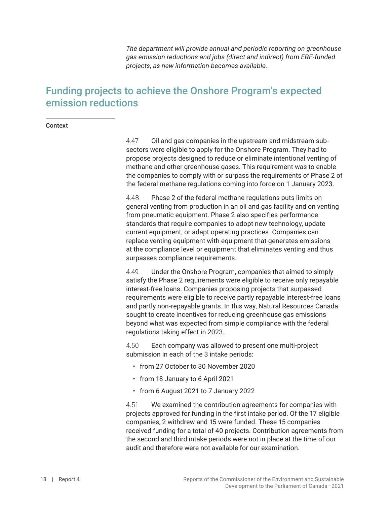*The department will provide annual and periodic reporting on greenhouse gas emission reductions and jobs (direct and indirect) from ERF-funded projects, as new information becomes available.*

## <span id="page-23-0"></span>Funding projects to achieve the Onshore Program's expected emission reductions

#### Context

4.47 Oil and gas companies in the upstream and midstream subsectors were eligible to apply for the Onshore Program. They had to propose projects designed to reduce or eliminate intentional venting of methane and other greenhouse gases. This requirement was to enable the companies to comply with or surpass the requirements of Phase 2 of the federal methane regulations coming into force on 1 January 2023.

4.48 Phase 2 of the federal methane regulations puts limits on general venting from production in an oil and gas facility and on venting from pneumatic equipment. Phase 2 also specifies performance standards that require companies to adopt new technology, update current equipment, or adapt operating practices. Companies can replace venting equipment with equipment that generates emissions at the compliance level or equipment that eliminates venting and thus surpasses compliance requirements.

4.49 Under the Onshore Program, companies that aimed to simply satisfy the Phase 2 requirements were eligible to receive only repayable interest-free loans. Companies proposing projects that surpassed requirements were eligible to receive partly repayable interest-free loans and partly non-repayable grants. In this way, Natural Resources Canada sought to create incentives for reducing greenhouse gas emissions beyond what was expected from simple compliance with the federal regulations taking effect in 2023.

4.50 Each company was allowed to present one multi-project submission in each of the 3 intake periods:

- from 27 October to 30 November 2020
- from 18 January to 6 April 2021
- from 6 August 2021 to 7 January 2022

4.51 We examined the contribution agreements for companies with projects approved for funding in the first intake period. Of the 17 eligible companies, 2 withdrew and 15 were funded. These 15 companies received funding for a total of 40 projects. Contribution agreements from the second and third intake periods were not in place at the time of our audit and therefore were not available for our examination.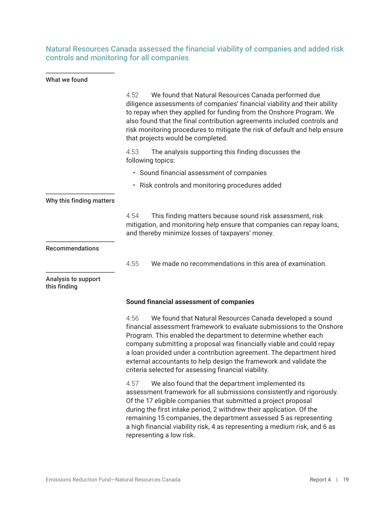### <span id="page-24-0"></span>Natural Resources Canada assessed the financial viability of companies and added risk controls and monitoring for all companies

#### What we found

|                                     | We found that Natural Resources Canada performed due<br>4.52<br>diligence assessments of companies' financial viability and their ability<br>to repay when they applied for funding from the Onshore Program. We<br>also found that the final contribution agreements included controls and<br>risk monitoring procedures to mitigate the risk of default and help ensure<br>that projects would be completed.                                                                            |  |
|-------------------------------------|-------------------------------------------------------------------------------------------------------------------------------------------------------------------------------------------------------------------------------------------------------------------------------------------------------------------------------------------------------------------------------------------------------------------------------------------------------------------------------------------|--|
|                                     | 4.53<br>The analysis supporting this finding discusses the<br>following topics:                                                                                                                                                                                                                                                                                                                                                                                                           |  |
|                                     | • Sound financial assessment of companies                                                                                                                                                                                                                                                                                                                                                                                                                                                 |  |
|                                     | • Risk controls and monitoring procedures added                                                                                                                                                                                                                                                                                                                                                                                                                                           |  |
| Why this finding matters            |                                                                                                                                                                                                                                                                                                                                                                                                                                                                                           |  |
|                                     | 4.54<br>This finding matters because sound risk assessment, risk<br>mitigation, and monitoring help ensure that companies can repay loans,<br>and thereby minimize losses of taxpayers' money.                                                                                                                                                                                                                                                                                            |  |
| <b>Recommendations</b>              |                                                                                                                                                                                                                                                                                                                                                                                                                                                                                           |  |
|                                     | 4.55<br>We made no recommendations in this area of examination.                                                                                                                                                                                                                                                                                                                                                                                                                           |  |
| Analysis to support<br>this finding |                                                                                                                                                                                                                                                                                                                                                                                                                                                                                           |  |
|                                     | Sound financial assessment of companies                                                                                                                                                                                                                                                                                                                                                                                                                                                   |  |
|                                     | 4.56<br>We found that Natural Resources Canada developed a sound<br>financial assessment framework to evaluate submissions to the Onshore<br>Program. This enabled the department to determine whether each<br>company submitting a proposal was financially viable and could repay<br>a loan provided under a contribution agreement. The department hired<br>external accountants to help design the framework and validate the<br>criteria selected for assessing financial viability. |  |
|                                     | 4.57<br>We also found that the department implemented its<br>assessment framework for all submissions consistently and rigorously.<br>Of the 17 eligible companies that submitted a project proposal<br>during the first intake period, 2 withdrew their application. Of the<br>remaining 15 companies, the department assessed 5 as representing<br>a high financial viability risk, 4 as representing a medium risk, and 6 as<br>representing a low risk.                               |  |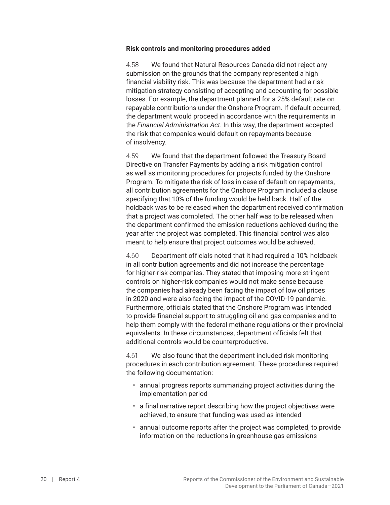#### <span id="page-25-0"></span>**Risk controls and monitoring procedures added**

4.58 We found that Natural Resources Canada did not reject any submission on the grounds that the company represented a high financial viability risk. This was because the department had a risk mitigation strategy consisting of accepting and accounting for possible losses. For example, the department planned for a 25% default rate on repayable contributions under the Onshore Program. If default occurred, the department would proceed in accordance with the requirements in the *Financial Administration Act*. In this way, the department accepted the risk that companies would default on repayments because of insolvency.

4.59 We found that the department followed the Treasury Board Directive on Transfer Payments by adding a risk mitigation control as well as monitoring procedures for projects funded by the Onshore Program. To mitigate the risk of loss in case of default on repayments, all contribution agreements for the Onshore Program included a clause specifying that 10% of the funding would be held back. Half of the holdback was to be released when the department received confirmation that a project was completed. The other half was to be released when the department confirmed the emission reductions achieved during the year after the project was completed. This financial control was also meant to help ensure that project outcomes would be achieved.

4.60 Department officials noted that it had required a 10% holdback in all contribution agreements and did not increase the percentage for higher-risk companies. They stated that imposing more stringent controls on higher-risk companies would not make sense because the companies had already been facing the impact of low oil prices in 2020 and were also facing the impact of the COVID-19 pandemic. Furthermore, officials stated that the Onshore Program was intended to provide financial support to struggling oil and gas companies and to help them comply with the federal methane regulations or their provincial equivalents. In these circumstances, department officials felt that additional controls would be counterproductive.

4.61 We also found that the department included risk monitoring procedures in each contribution agreement. These procedures required the following documentation:

- annual progress reports summarizing project activities during the implementation period
- a final narrative report describing how the project objectives were achieved, to ensure that funding was used as intended
- annual outcome reports after the project was completed, to provide information on the reductions in greenhouse gas emissions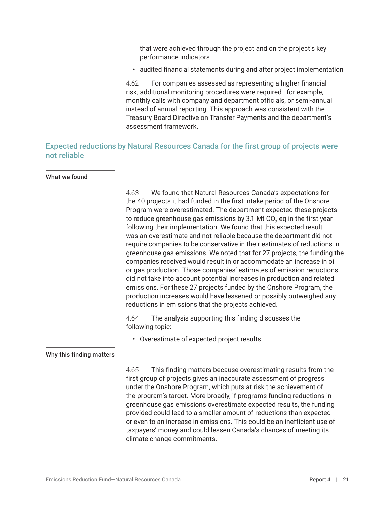<span id="page-26-0"></span>that were achieved through the project and on the project's key performance indicators

• audited financial statements during and after project implementation

4.62 For companies assessed as representing a higher financial risk, additional monitoring procedures were required—for example, monthly calls with company and department officials, or semi-annual instead of annual reporting. This approach was consistent with the Treasury Board Directive on Transfer Payments and the department's assessment framework.

### Expected reductions by Natural Resources Canada for the first group of projects were not reliable

#### What we found

4.63 We found that Natural Resources Canada's expectations for the 40 projects it had funded in the first intake period of the Onshore Program were overestimated. The department expected these projects to reduce greenhouse gas emissions by 3.1 Mt CO $_{\textrm{\tiny{2}}}$  eq in the first year following their implementation. We found that this expected result was an overestimate and not reliable because the department did not require companies to be conservative in their estimates of reductions in greenhouse gas emissions. We noted that for 27 projects, the funding the companies received would result in or accommodate an increase in oil or gas production. Those companies' estimates of emission reductions did not take into account potential increases in production and related emissions. For these 27 projects funded by the Onshore Program, the production increases would have lessened or possibly outweighed any reductions in emissions that the projects achieved.

4.64 The analysis supporting this finding discusses the following topic:

• Overestimate of expected project results

#### Why this finding matters

4.65 This finding matters because overestimating results from the first group of projects gives an inaccurate assessment of progress under the Onshore Program, which puts at risk the achievement of the program's target. More broadly, if programs funding reductions in greenhouse gas emissions overestimate expected results, the funding provided could lead to a smaller amount of reductions than expected or even to an increase in emissions. This could be an inefficient use of taxpayers' money and could lessen Canada's chances of meeting its climate change commitments.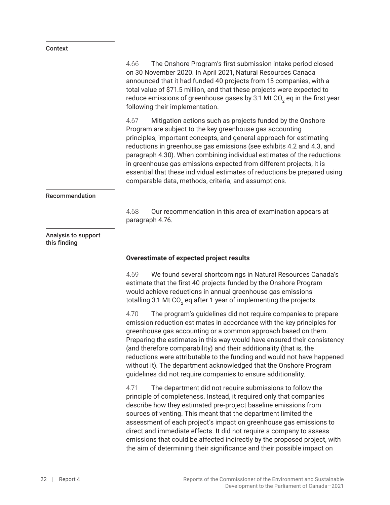#### <span id="page-27-0"></span>Context

|                                     | The Onshore Program's first submission intake period closed<br>4.66<br>on 30 November 2020. In April 2021, Natural Resources Canada<br>announced that it had funded 40 projects from 15 companies, with a<br>total value of \$71.5 million, and that these projects were expected to<br>reduce emissions of greenhouse gases by 3.1 Mt CO <sub>2</sub> eq in the first year<br>following their implementation.                                                                                                                                                                       |  |
|-------------------------------------|--------------------------------------------------------------------------------------------------------------------------------------------------------------------------------------------------------------------------------------------------------------------------------------------------------------------------------------------------------------------------------------------------------------------------------------------------------------------------------------------------------------------------------------------------------------------------------------|--|
|                                     | Mitigation actions such as projects funded by the Onshore<br>4.67<br>Program are subject to the key greenhouse gas accounting<br>principles, important concepts, and general approach for estimating<br>reductions in greenhouse gas emissions (see exhibits 4.2 and 4.3, and<br>paragraph 4.30). When combining individual estimates of the reductions<br>in greenhouse gas emissions expected from different projects, it is<br>essential that these individual estimates of reductions be prepared using<br>comparable data, methods, criteria, and assumptions.                  |  |
| Recommendation                      |                                                                                                                                                                                                                                                                                                                                                                                                                                                                                                                                                                                      |  |
|                                     | Our recommendation in this area of examination appears at<br>4.68<br>paragraph 4.76.                                                                                                                                                                                                                                                                                                                                                                                                                                                                                                 |  |
| Analysis to support<br>this finding |                                                                                                                                                                                                                                                                                                                                                                                                                                                                                                                                                                                      |  |
|                                     | Overestimate of expected project results                                                                                                                                                                                                                                                                                                                                                                                                                                                                                                                                             |  |
|                                     | 4.69<br>We found several shortcomings in Natural Resources Canada's<br>estimate that the first 40 projects funded by the Onshore Program<br>would achieve reductions in annual greenhouse gas emissions<br>totalling 3.1 Mt CO <sub>2</sub> eq after 1 year of implementing the projects.                                                                                                                                                                                                                                                                                            |  |
|                                     | 4.70<br>The program's guidelines did not require companies to prepare<br>emission reduction estimates in accordance with the key principles for<br>greenhouse gas accounting or a common approach based on them.<br>Preparing the estimates in this way would have ensured their consistency<br>(and therefore comparability) and their additionality (that is, the<br>reductions were attributable to the funding and would not have happened<br>without it). The department acknowledged that the Onshore Program<br>guidelines did not require companies to ensure additionality. |  |
|                                     | 4.71<br>The department did not require submissions to follow the<br>principle of completeness. Instead, it required only that companies<br>describe how they estimated pre-project baseline emissions from<br>sources of venting. This meant that the department limited the<br>assessment of each project's impact on greenhouse gas emissions to                                                                                                                                                                                                                                   |  |

direct and immediate effects. It did not require a company to assess emissions that could be affected indirectly by the proposed project, with the aim of determining their significance and their possible impact on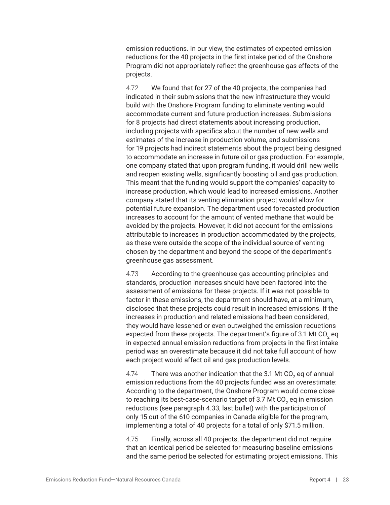emission reductions. In our view, the estimates of expected emission reductions for the 40 projects in the first intake period of the Onshore Program did not appropriately reflect the greenhouse gas effects of the projects.

4.72 We found that for 27 of the 40 projects, the companies had indicated in their submissions that the new infrastructure they would build with the Onshore Program funding to eliminate venting would accommodate current and future production increases. Submissions for 8 projects had direct statements about increasing production, including projects with specifics about the number of new wells and estimates of the increase in production volume, and submissions for 19 projects had indirect statements about the project being designed to accommodate an increase in future oil or gas production. For example, one company stated that upon program funding, it would drill new wells and reopen existing wells, significantly boosting oil and gas production. This meant that the funding would support the companies' capacity to increase production, which would lead to increased emissions. Another company stated that its venting elimination project would allow for potential future expansion. The department used forecasted production increases to account for the amount of vented methane that would be avoided by the projects. However, it did not account for the emissions attributable to increases in production accommodated by the projects, as these were outside the scope of the individual source of venting chosen by the department and beyond the scope of the department's greenhouse gas assessment.

4.73 According to the greenhouse gas accounting principles and standards, production increases should have been factored into the assessment of emissions for these projects. If it was not possible to factor in these emissions, the department should have, at a minimum, disclosed that these projects could result in increased emissions. If the increases in production and related emissions had been considered, they would have lessened or even outweighed the emission reductions expected from these projects. The department's figure of 3.1 Mt CO $_{\textrm{\tiny{2}}}$  eq in expected annual emission reductions from projects in the first intake period was an overestimate because it did not take full account of how each project would affect oil and gas production levels.

4.74 There was another indication that the 3.1 Mt CO $_{\rm 2}$  eq of annual emission reductions from the 40 projects funded was an overestimate: According to the department, the Onshore Program would come close to reaching its best-case-scenario target of 3.7 Mt CO $_{\textrm{\tiny{2}}}$  eq in emission reductions (see paragraph 4.33, last bullet) with the participation of only 15 out of the 610 companies in Canada eligible for the program, implementing a total of 40 projects for a total of only \$71.5 million.

4.75 Finally, across all 40 projects, the department did not require that an identical period be selected for measuring baseline emissions and the same period be selected for estimating project emissions. This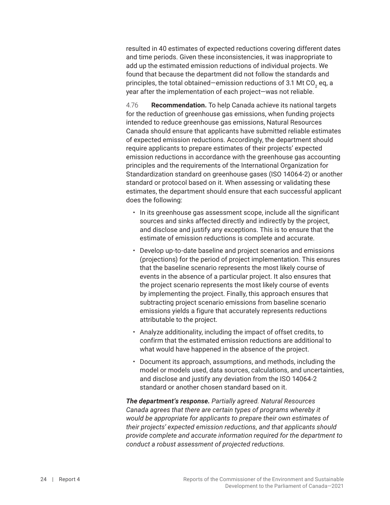resulted in 40 estimates of expected reductions covering different dates and time periods. Given these inconsistencies, it was inappropriate to add up the estimated emission reductions of individual projects. We found that because the department did not follow the standards and principles, the total obtained—emission reductions of 3.1 Mt CO $_{\textrm{\tiny{2}}}$  eq, a year after the implementation of each project—was not reliable.

4.76 **Recommendation.** To help Canada achieve its national targets for the reduction of greenhouse gas emissions, when funding projects intended to reduce greenhouse gas emissions, Natural Resources Canada should ensure that applicants have submitted reliable estimates of expected emission reductions. Accordingly, the department should require applicants to prepare estimates of their projects' expected emission reductions in accordance with the greenhouse gas accounting principles and the requirements of the International Organization for Standardization standard on greenhouse gases (ISO 14064-2) or another standard or protocol based on it. When assessing or validating these estimates, the department should ensure that each successful applicant does the following:

- In its greenhouse gas assessment scope, include all the significant sources and sinks affected directly and indirectly by the project, and disclose and justify any exceptions. This is to ensure that the estimate of emission reductions is complete and accurate.
- Develop up-to-date baseline and project scenarios and emissions (projections) for the period of project implementation. This ensures that the baseline scenario represents the most likely course of events in the absence of a particular project. It also ensures that the project scenario represents the most likely course of events by implementing the project. Finally, this approach ensures that subtracting project scenario emissions from baseline scenario emissions yields a figure that accurately represents reductions attributable to the project.
- Analyze additionality, including the impact of offset credits, to confirm that the estimated emission reductions are additional to what would have happened in the absence of the project.
- Document its approach, assumptions, and methods, including the model or models used, data sources, calculations, and uncertainties, and disclose and justify any deviation from the ISO 14064-2 standard or another chosen standard based on it.

*The department's response. Partially agreed. Natural Resources Canada agrees that there are certain types of programs whereby it would be appropriate for applicants to prepare their own estimates of their projects' expected emission reductions, and that applicants should provide complete and accurate information required for the department to conduct a robust assessment of projected reductions.*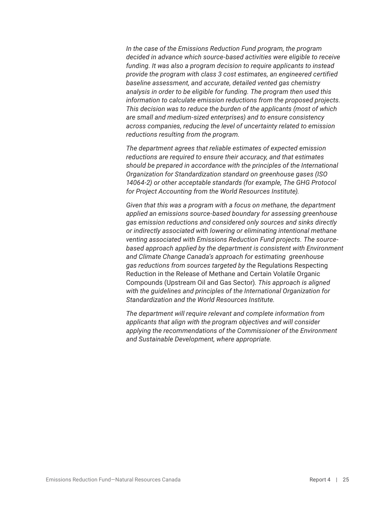*In the case of the Emissions Reduction Fund program, the program decided in advance which source-based activities were eligible to receive funding. It was also a program decision to require applicants to instead provide the program with class 3 cost estimates, an engineered certified baseline assessment, and accurate, detailed vented gas chemistry analysis in order to be eligible for funding. The program then used this information to calculate emission reductions from the proposed projects. This decision was to reduce the burden of the applicants (most of which are small and medium-sized enterprises) and to ensure consistency across companies, reducing the level of uncertainty related to emission reductions resulting from the program.*

*The department agrees that reliable estimates of expected emission reductions are required to ensure their accuracy, and that estimates should be prepared in accordance with the principles of the International Organization for Standardization standard on greenhouse gases (ISO 14064-2) or other acceptable standards (for example, The GHG Protocol for Project Accounting from the World Resources Institute).*

*Given that this was a program with a focus on methane, the department applied an emissions source-based boundary for assessing greenhouse gas emission reductions and considered only sources and sinks directly or indirectly associated with lowering or eliminating intentional methane venting associated with Emissions Reduction Fund projects. The sourcebased approach applied by the department is consistent with Environment and Climate Change Canada's approach for estimating greenhouse gas reductions from sources targeted by the* Regulations Respecting Reduction in the Release of Methane and Certain Volatile Organic Compounds (Upstream Oil and Gas Sector)*. This approach is aligned with the guidelines and principles of the International Organization for Standardization and the World Resources Institute.*

*The department will require relevant and complete information from applicants that align with the program objectives and will consider applying the recommendations of the Commissioner of the Environment and Sustainable Development, where appropriate.*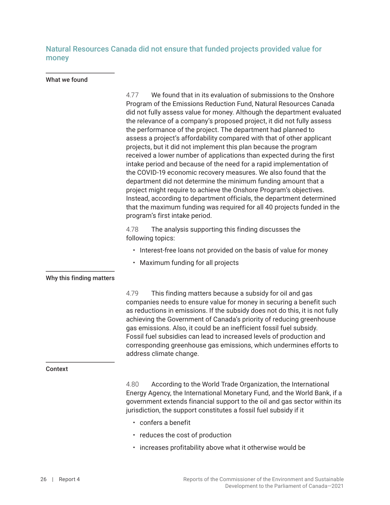<span id="page-31-0"></span>Natural Resources Canada did not ensure that funded projects provided value for money

#### What we found

|                          | We found that in its evaluation of submissions to the Onshore<br>4.77<br>Program of the Emissions Reduction Fund, Natural Resources Canada<br>did not fully assess value for money. Although the department evaluated<br>the relevance of a company's proposed project, it did not fully assess<br>the performance of the project. The department had planned to<br>assess a project's affordability compared with that of other applicant<br>projects, but it did not implement this plan because the program<br>received a lower number of applications than expected during the first<br>intake period and because of the need for a rapid implementation of<br>the COVID-19 economic recovery measures. We also found that the<br>department did not determine the minimum funding amount that a<br>project might require to achieve the Onshore Program's objectives.<br>Instead, according to department officials, the department determined<br>that the maximum funding was required for all 40 projects funded in the<br>program's first intake period. |  |
|--------------------------|------------------------------------------------------------------------------------------------------------------------------------------------------------------------------------------------------------------------------------------------------------------------------------------------------------------------------------------------------------------------------------------------------------------------------------------------------------------------------------------------------------------------------------------------------------------------------------------------------------------------------------------------------------------------------------------------------------------------------------------------------------------------------------------------------------------------------------------------------------------------------------------------------------------------------------------------------------------------------------------------------------------------------------------------------------------|--|
|                          | 4.78<br>The analysis supporting this finding discusses the<br>following topics:                                                                                                                                                                                                                                                                                                                                                                                                                                                                                                                                                                                                                                                                                                                                                                                                                                                                                                                                                                                  |  |
|                          | • Interest-free loans not provided on the basis of value for money                                                                                                                                                                                                                                                                                                                                                                                                                                                                                                                                                                                                                                                                                                                                                                                                                                                                                                                                                                                               |  |
|                          | • Maximum funding for all projects                                                                                                                                                                                                                                                                                                                                                                                                                                                                                                                                                                                                                                                                                                                                                                                                                                                                                                                                                                                                                               |  |
| Why this finding matters |                                                                                                                                                                                                                                                                                                                                                                                                                                                                                                                                                                                                                                                                                                                                                                                                                                                                                                                                                                                                                                                                  |  |
|                          | 4.79<br>This finding matters because a subsidy for oil and gas<br>companies needs to ensure value for money in securing a benefit such<br>as reductions in emissions. If the subsidy does not do this, it is not fully<br>achieving the Government of Canada's priority of reducing greenhouse<br>gas emissions. Also, it could be an inefficient fossil fuel subsidy.<br>Fossil fuel subsidies can lead to increased levels of production and<br>corresponding greenhouse gas emissions, which undermines efforts to<br>address climate change.                                                                                                                                                                                                                                                                                                                                                                                                                                                                                                                 |  |
| <b>Context</b>           |                                                                                                                                                                                                                                                                                                                                                                                                                                                                                                                                                                                                                                                                                                                                                                                                                                                                                                                                                                                                                                                                  |  |
|                          | According to the World Trade Organization, the International<br>4.80<br>Energy Agency, the International Monetary Fund, and the World Bank, if a<br>government extends financial support to the oil and gas sector within its<br>jurisdiction, the support constitutes a fossil fuel subsidy if it                                                                                                                                                                                                                                                                                                                                                                                                                                                                                                                                                                                                                                                                                                                                                               |  |
|                          | • confers a benefit                                                                                                                                                                                                                                                                                                                                                                                                                                                                                                                                                                                                                                                                                                                                                                                                                                                                                                                                                                                                                                              |  |

- reduces the cost of production
- increases profitability above what it otherwise would be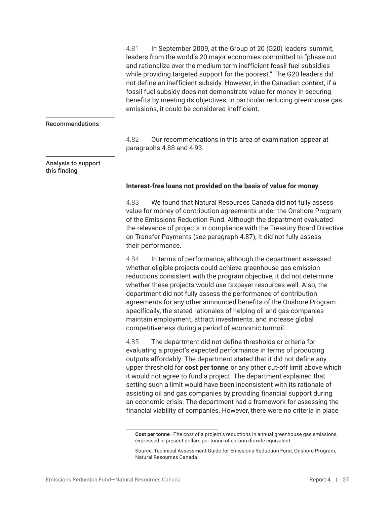4.81 In September 2009, at the Group of 20 (G20) leaders' summit, leaders from the world's 20 major economies committed to "phase out and rationalize over the medium term inefficient fossil fuel subsidies while providing targeted support for the poorest." The G20 leaders did not define an inefficient subsidy. However, in the Canadian context, if a fossil fuel subsidy does not demonstrate value for money in securing benefits by meeting its objectives, in particular reducing greenhouse gas emissions, it could be considered inefficient.

#### <span id="page-32-0"></span>Recommendations

4.82 Our recommendations in this area of examination appear at paragraphs 4.88 and 4.93.

#### Analysis to support this finding

#### **Interest-free loans not provided on the basis of value for money**

4.83 We found that Natural Resources Canada did not fully assess value for money of contribution agreements under the Onshore Program of the Emissions Reduction Fund. Although the department evaluated the relevance of projects in compliance with the Treasury Board Directive on Transfer Payments (see paragraph 4.87), it did not fully assess their performance.

4.84 In terms of performance, although the department assessed whether eligible projects could achieve greenhouse gas emission reductions consistent with the program objective, it did not determine whether these projects would use taxpayer resources well. Also, the department did not fully assess the performance of contribution agreements for any other announced benefits of the Onshore Program specifically, the stated rationales of helping oil and gas companies maintain employment, attract investments, and increase global competitiveness during a period of economic turmoil.

4.85 The department did not define thresholds or criteria for evaluating a project's expected performance in terms of producing outputs affordably. The department stated that it did not define any upper threshold for **cost per tonne** or any other cut-off limit above which it would not agree to fund a project. The department explained that setting such a limit would have been inconsistent with its rationale of assisting oil and gas companies by providing financial support during an economic crisis. The department had a framework for assessing the financial viability of companies. However, there were no criteria in place

**Cost per tonne**—The cost of a project's reductions in annual greenhouse gas emissions, expressed in present dollars per tonne of carbon dioxide equivalent.

Source: Technical Assessment Guide for Emissions Reduction Fund, Onshore Program, Natural Resources Canada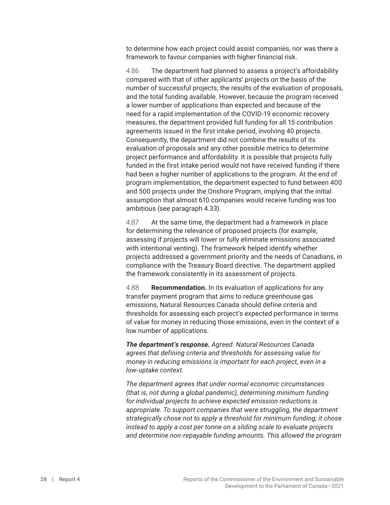to determine how each project could assist companies, nor was there a framework to favour companies with higher financial risk.

4.86 The department had planned to assess a project's affordability compared with that of other applicants' projects on the basis of the number of successful projects, the results of the evaluation of proposals, and the total funding available. However, because the program received a lower number of applications than expected and because of the need for a rapid implementation of the COVID-19 economic recovery measures, the department provided full funding for all 15 contribution agreements issued in the first intake period, involving 40 projects. Consequently, the department did not combine the results of its evaluation of proposals and any other possible metrics to determine project performance and affordability. It is possible that projects fully funded in the first intake period would not have received funding if there had been a higher number of applications to the program. At the end of program implementation, the department expected to fund between 400 and 500 projects under the Onshore Program, implying that the initial assumption that almost 610 companies would receive funding was too ambitious (see paragraph 4.33).

4.87 At the same time, the department had a framework in place for determining the relevance of proposed projects (for example, assessing if projects will lower or fully eliminate emissions associated with intentional venting). The framework helped identify whether projects addressed a government priority and the needs of Canadians, in compliance with the Treasury Board directive. The department applied the framework consistently in its assessment of projects.

4.88 **Recommendation.** In its evaluation of applications for any transfer payment program that aims to reduce greenhouse gas emissions, Natural Resources Canada should define criteria and thresholds for assessing each project's expected performance in terms of value for money in reducing those emissions, even in the context of a low number of applications.

*The department's response. Agreed. Natural Resources Canada agrees that defining criteria and thresholds for assessing value for money in reducing emissions is important for each project, even in a low-uptake context.* 

*The department agrees that under normal economic circumstances (that is, not during a global pandemic), determining minimum funding for individual projects to achieve expected emission reductions is appropriate. To support companies that were struggling, the department strategically chose not to apply a threshold for minimum funding; it chose instead to apply a cost per tonne on a sliding scale to evaluate projects and determine non-repayable funding amounts. This allowed the program*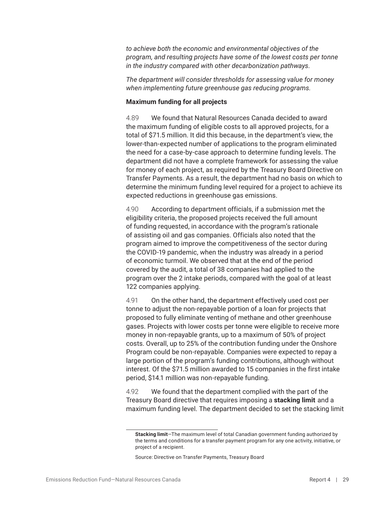<span id="page-34-0"></span>*to achieve both the economic and environmental objectives of the program, and resulting projects have some of the lowest costs per tonne in the industry compared with other decarbonization pathways.*

*The department will consider thresholds for assessing value for money when implementing future greenhouse gas reducing programs.*

#### **Maximum funding for all projects**

4.89 We found that Natural Resources Canada decided to award the maximum funding of eligible costs to all approved projects, for a total of \$71.5 million. It did this because, in the department's view, the lower-than-expected number of applications to the program eliminated the need for a case-by-case approach to determine funding levels. The department did not have a complete framework for assessing the value for money of each project, as required by the Treasury Board Directive on Transfer Payments. As a result, the department had no basis on which to determine the minimum funding level required for a project to achieve its expected reductions in greenhouse gas emissions.

4.90 According to department officials, if a submission met the eligibility criteria, the proposed projects received the full amount of funding requested, in accordance with the program's rationale of assisting oil and gas companies. Officials also noted that the program aimed to improve the competitiveness of the sector during the COVID-19 pandemic, when the industry was already in a period of economic turmoil. We observed that at the end of the period covered by the audit, a total of 38 companies had applied to the program over the 2 intake periods, compared with the goal of at least 122 companies applying.

4.91 On the other hand, the department effectively used cost per tonne to adjust the non-repayable portion of a loan for projects that proposed to fully eliminate venting of methane and other greenhouse gases. Projects with lower costs per tonne were eligible to receive more money in non-repayable grants, up to a maximum of 50% of project costs. Overall, up to 25% of the contribution funding under the Onshore Program could be non-repayable. Companies were expected to repay a large portion of the program's funding contributions, although without interest. Of the \$71.5 million awarded to 15 companies in the first intake period, \$14.1 million was non-repayable funding.

4.92 We found that the department complied with the part of the Treasury Board directive that requires imposing a **stacking limit** and a maximum funding level. The department decided to set the stacking limit

**Stacking limit**—The maximum level of total Canadian government funding authorized by the terms and conditions for a transfer payment program for any one activity, initiative, or project of a recipient.

Source: Directive on Transfer Payments, Treasury Board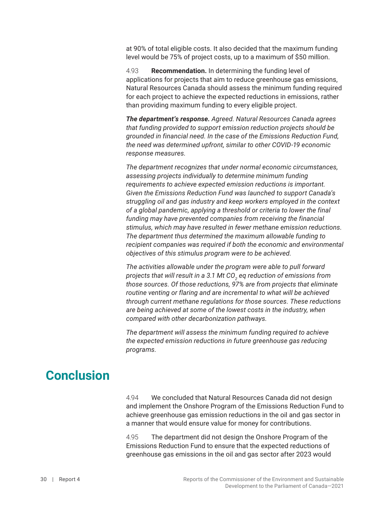<span id="page-35-0"></span>at 90% of total eligible costs. It also decided that the maximum funding level would be 75% of project costs, up to a maximum of \$50 million.

4.93 **Recommendation.** In determining the funding level of applications for projects that aim to reduce greenhouse gas emissions, Natural Resources Canada should assess the minimum funding required for each project to achieve the expected reductions in emissions, rather than providing maximum funding to every eligible project.

*The department's response. Agreed. Natural Resources Canada agrees that funding provided to support emission reduction projects should be grounded in financial need. In the case of the Emissions Reduction Fund, the need was determined upfront, similar to other COVID-19 economic response measures.*

*The department recognizes that under normal economic circumstances, assessing projects individually to determine minimum funding requirements to achieve expected emission reductions is important. Given the Emissions Reduction Fund was launched to support Canada's struggling oil and gas industry and keep workers employed in the context of a global pandemic, applying a threshold or criteria to lower the final funding may have prevented companies from receiving the financial stimulus, which may have resulted in fewer methane emission reductions. The department thus determined the maximum allowable funding to recipient companies was required if both the economic and environmental objectives of this stimulus program were to be achieved.*

*The activities allowable under the program were able to pull forward projects that will result in a 3.1 Mt CO<sup>2</sup> eq reduction of emissions from those sources. Of those reductions, 97% are from projects that eliminate routine venting or flaring and are incremental to what will be achieved through current methane regulations for those sources. These reductions are being achieved at some of the lowest costs in the industry, when compared with other decarbonization pathways.*

*The department will assess the minimum funding required to achieve the expected emission reductions in future greenhouse gas reducing programs.*

# **Conclusion**

4.94 We concluded that Natural Resources Canada did not design and implement the Onshore Program of the Emissions Reduction Fund to achieve greenhouse gas emission reductions in the oil and gas sector in a manner that would ensure value for money for contributions.

4.95 The department did not design the Onshore Program of the Emissions Reduction Fund to ensure that the expected reductions of greenhouse gas emissions in the oil and gas sector after 2023 would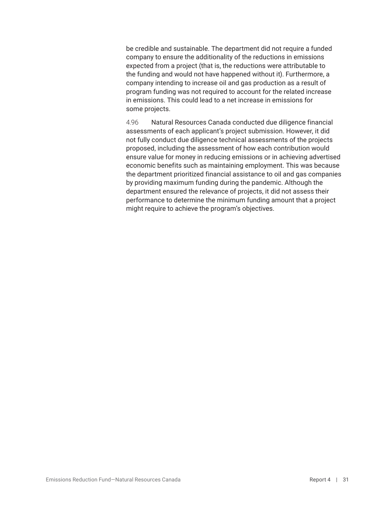be credible and sustainable. The department did not require a funded company to ensure the additionality of the reductions in emissions expected from a project (that is, the reductions were attributable to the funding and would not have happened without it). Furthermore, a company intending to increase oil and gas production as a result of program funding was not required to account for the related increase in emissions. This could lead to a net increase in emissions for some projects.

4.96 Natural Resources Canada conducted due diligence financial assessments of each applicant's project submission. However, it did not fully conduct due diligence technical assessments of the projects proposed, including the assessment of how each contribution would ensure value for money in reducing emissions or in achieving advertised economic benefits such as maintaining employment. This was because the department prioritized financial assistance to oil and gas companies by providing maximum funding during the pandemic. Although the department ensured the relevance of projects, it did not assess their performance to determine the minimum funding amount that a project might require to achieve the program's objectives.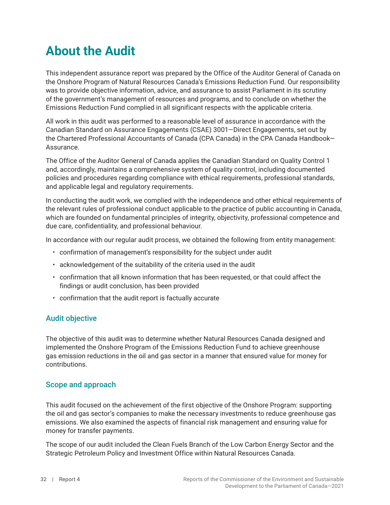# <span id="page-37-0"></span>**About the Audit**

This independent assurance report was prepared by the Office of the Auditor General of Canada on the Onshore Program of Natural Resources Canada's Emissions Reduction Fund. Our responsibility was to provide objective information, advice, and assurance to assist Parliament in its scrutiny of the government's management of resources and programs, and to conclude on whether the Emissions Reduction Fund complied in all significant respects with the applicable criteria.

All work in this audit was performed to a reasonable level of assurance in accordance with the Canadian Standard on Assurance Engagements (CSAE) 3001—Direct Engagements, set out by the Chartered Professional Accountants of Canada (CPA Canada) in the CPA Canada Handbook— Assurance.

The Office of the Auditor General of Canada applies the Canadian Standard on Quality Control 1 and, accordingly, maintains a comprehensive system of quality control, including documented policies and procedures regarding compliance with ethical requirements, professional standards, and applicable legal and regulatory requirements.

In conducting the audit work, we complied with the independence and other ethical requirements of the relevant rules of professional conduct applicable to the practice of public accounting in Canada, which are founded on fundamental principles of integrity, objectivity, professional competence and due care, confidentiality, and professional behaviour.

In accordance with our regular audit process, we obtained the following from entity management:

- confirmation of management's responsibility for the subject under audit
- acknowledgement of the suitability of the criteria used in the audit
- confirmation that all known information that has been requested, or that could affect the findings or audit conclusion, has been provided
- confirmation that the audit report is factually accurate

#### Audit objective

The objective of this audit was to determine whether Natural Resources Canada designed and implemented the Onshore Program of the Emissions Reduction Fund to achieve greenhouse gas emission reductions in the oil and gas sector in a manner that ensured value for money for contributions.

#### Scope and approach

This audit focused on the achievement of the first objective of the Onshore Program: supporting the oil and gas sector's companies to make the necessary investments to reduce greenhouse gas emissions. We also examined the aspects of financial risk management and ensuring value for money for transfer payments.

The scope of our audit included the Clean Fuels Branch of the Low Carbon Energy Sector and the Strategic Petroleum Policy and Investment Office within Natural Resources Canada.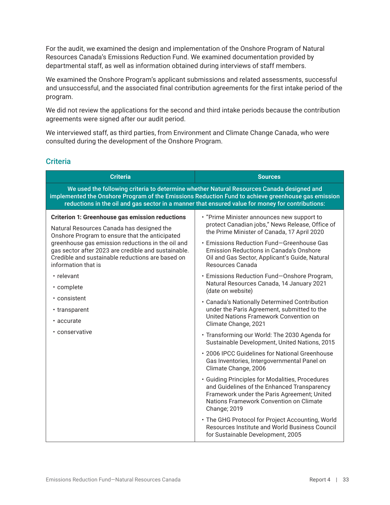For the audit, we examined the design and implementation of the Onshore Program of Natural Resources Canada's Emissions Reduction Fund. We examined documentation provided by departmental staff, as well as information obtained during interviews of staff members.

We examined the Onshore Program's applicant submissions and related assessments, successful and unsuccessful, and the associated final contribution agreements for the first intake period of the program.

We did not review the applications for the second and third intake periods because the contribution agreements were signed after our audit period.

We interviewed staff, as third parties, from Environment and Climate Change Canada, who were consulted during the development of the Onshore Program.

#### **Criteria**

| <b>Criteria</b>                                                                                                                                                                                                                                                                                                                                                                                                                           | <b>Sources</b>                                                                                                                                                                                                                                                                                                                                                                                                                                                                                                                                                                                                                                                                                                                                                                                                                                                                                                                                                                                                                                                                                                                                                                                |  |
|-------------------------------------------------------------------------------------------------------------------------------------------------------------------------------------------------------------------------------------------------------------------------------------------------------------------------------------------------------------------------------------------------------------------------------------------|-----------------------------------------------------------------------------------------------------------------------------------------------------------------------------------------------------------------------------------------------------------------------------------------------------------------------------------------------------------------------------------------------------------------------------------------------------------------------------------------------------------------------------------------------------------------------------------------------------------------------------------------------------------------------------------------------------------------------------------------------------------------------------------------------------------------------------------------------------------------------------------------------------------------------------------------------------------------------------------------------------------------------------------------------------------------------------------------------------------------------------------------------------------------------------------------------|--|
| We used the following criteria to determine whether Natural Resources Canada designed and<br>implemented the Onshore Program of the Emissions Reduction Fund to achieve greenhouse gas emission<br>reductions in the oil and gas sector in a manner that ensured value for money for contributions:                                                                                                                                       |                                                                                                                                                                                                                                                                                                                                                                                                                                                                                                                                                                                                                                                                                                                                                                                                                                                                                                                                                                                                                                                                                                                                                                                               |  |
| <b>Criterion 1: Greenhouse gas emission reductions</b><br>Natural Resources Canada has designed the<br>Onshore Program to ensure that the anticipated<br>greenhouse gas emission reductions in the oil and<br>gas sector after 2023 are credible and sustainable.<br>Credible and sustainable reductions are based on<br>information that is<br>• relevant<br>• complete<br>• consistent<br>• transparent<br>• accurate<br>• conservative | • "Prime Minister announces new support to<br>protect Canadian jobs," News Release, Office of<br>the Prime Minister of Canada, 17 April 2020<br>• Emissions Reduction Fund-Greenhouse Gas<br><b>Emission Reductions in Canada's Onshore</b><br>Oil and Gas Sector, Applicant's Guide, Natural<br>Resources Canada<br>• Emissions Reduction Fund-Onshore Program,<br>Natural Resources Canada, 14 January 2021<br>(date on website)<br>• Canada's Nationally Determined Contribution<br>under the Paris Agreement, submitted to the<br>United Nations Framework Convention on<br>Climate Change, 2021<br>· Transforming our World: The 2030 Agenda for<br>Sustainable Development, United Nations, 2015<br>• 2006 IPCC Guidelines for National Greenhouse<br>Gas Inventories, Intergovernmental Panel on<br>Climate Change, 2006<br>· Guiding Principles for Modalities, Procedures<br>and Guidelines of the Enhanced Transparency<br>Framework under the Paris Agreement; United<br>Nations Framework Convention on Climate<br><b>Change; 2019</b><br>• The GHG Protocol for Project Accounting, World<br>Resources Institute and World Business Council<br>for Sustainable Development, 2005 |  |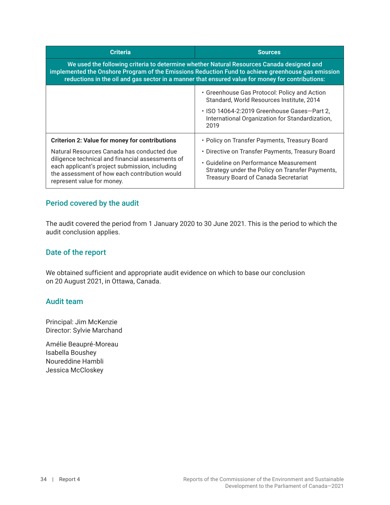| <b>Criteria</b>                                                                                                                                                                                                                                                                                     | <b>Sources</b>                                                                                                                                                                                                                         |  |
|-----------------------------------------------------------------------------------------------------------------------------------------------------------------------------------------------------------------------------------------------------------------------------------------------------|----------------------------------------------------------------------------------------------------------------------------------------------------------------------------------------------------------------------------------------|--|
| We used the following criteria to determine whether Natural Resources Canada designed and<br>implemented the Onshore Program of the Emissions Reduction Fund to achieve greenhouse gas emission<br>reductions in the oil and gas sector in a manner that ensured value for money for contributions: |                                                                                                                                                                                                                                        |  |
|                                                                                                                                                                                                                                                                                                     | • Greenhouse Gas Protocol: Policy and Action<br>Standard, World Resources Institute, 2014<br>• ISO 14064-2:2019 Greenhouse Gases–Part 2,<br>International Organization for Standardization,<br>2019                                    |  |
| <b>Criterion 2: Value for money for contributions</b><br>Natural Resources Canada has conducted due<br>diligence technical and financial assessments of<br>each applicant's project submission, including<br>the assessment of how each contribution would<br>represent value for money.            | • Policy on Transfer Payments, Treasury Board<br>• Directive on Transfer Payments, Treasury Board<br>• Guideline on Performance Measurement<br>Strategy under the Policy on Transfer Payments,<br>Treasury Board of Canada Secretariat |  |

### Period covered by the audit

The audit covered the period from 1 January 2020 to 30 June 2021. This is the period to which the audit conclusion applies.

### Date of the report

We obtained sufficient and appropriate audit evidence on which to base our conclusion on 20 August 2021, in Ottawa, Canada.

#### Audit team

Principal: Jim McKenzie Director: Sylvie Marchand

Amélie Beaupré-Moreau Isabella Boushey Noureddine Hambli Jessica McCloskey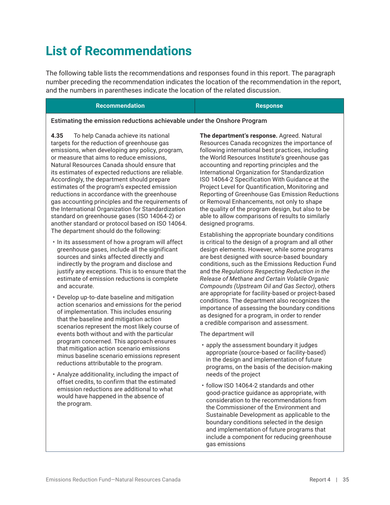# <span id="page-40-0"></span>**List of Recommendations**

The following table lists the recommendations and responses found in this report. The paragraph number preceding the recommendation indicates the location of the recommendation in the report, and the numbers in parentheses indicate the location of the related discussion.

#### **Recommendation Response**

#### Estimating the emission reductions achievable under the Onshore Program

**4.35** To help Canada achieve its national targets for the reduction of greenhouse gas emissions, when developing any policy, program, or measure that aims to reduce emissions, Natural Resources Canada should ensure that its estimates of expected reductions are reliable. Accordingly, the department should prepare estimates of the program's expected emission reductions in accordance with the greenhouse gas accounting principles and the requirements of the International Organization for Standardization standard on greenhouse gases (ISO 14064-2) or another standard or protocol based on ISO 14064. The department should do the following:

- In its assessment of how a program will affect greenhouse gases, include all the significant sources and sinks affected directly and indirectly by the program and disclose and justify any exceptions. This is to ensure that the estimate of emission reductions is complete and accurate.
- Develop up-to-date baseline and mitigation action scenarios and emissions for the period of implementation. This includes ensuring that the baseline and mitigation action scenarios represent the most likely course of events both without and with the particular program concerned. This approach ensures that mitigation action scenario emissions minus baseline scenario emissions represent reductions attributable to the program.
- Analyze additionality, including the impact of offset credits, to confirm that the estimated emission reductions are additional to what would have happened in the absence of the program.

**The department's response.** Agreed. Natural Resources Canada recognizes the importance of following international best practices, including the World Resources Institute's greenhouse gas accounting and reporting principles and the International Organization for Standardization ISO 14064-2 Specification With Guidance at the Project Level for Quantification, Monitoring and Reporting of Greenhouse Gas Emission Reductions or Removal Enhancements, not only to shape the quality of the program design, but also to be able to allow comparisons of results to similarly designed programs.

Establishing the appropriate boundary conditions is critical to the design of a program and all other design elements. However, while some programs are best designed with source-based boundary conditions, such as the Emissions Reduction Fund and the *Regulations Respecting Reduction in the Release of Methane and Certain Volatile Organic Compounds (Upstream Oil and Gas Sector)*, others are appropriate for facility-based or project-based conditions. The department also recognizes the importance of assessing the boundary conditions as designed for a program, in order to render a credible comparison and assessment.

The department will

- apply the assessment boundary it judges appropriate (source-based or facility-based) in the design and implementation of future programs, on the basis of the decision-making needs of the project
- follow ISO 14064-2 standards and other good-practice guidance as appropriate, with consideration to the recommendations from the Commissioner of the Environment and Sustainable Development as applicable to the boundary conditions selected in the design and implementation of future programs that include a component for reducing greenhouse gas emissions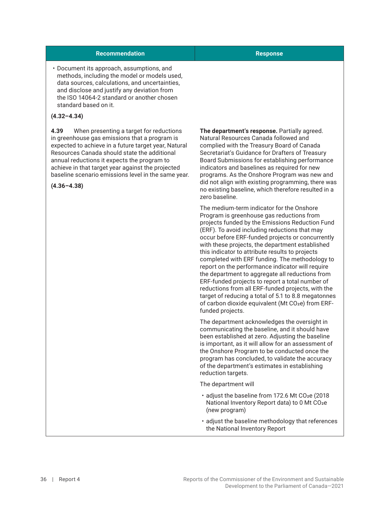#### **Recommendation Response**

• Document its approach, assumptions, and methods, including the model or models used, data sources, calculations, and uncertainties, and disclose and justify any deviation from the ISO 14064-2 standard or another chosen standard based on it.

#### **(4.32–4.34)**

**4.39** When presenting a target for reductions in greenhouse gas emissions that a program is expected to achieve in a future target year, Natural Resources Canada should state the additional annual reductions it expects the program to achieve in that target year against the projected baseline scenario emissions level in the same year.

**(4.36–4.38)**

**The department's response.** Partially agreed. Natural Resources Canada followed and complied with the Treasury Board of Canada Secretariat's Guidance for Drafters of Treasury Board Submissions for establishing performance indicators and baselines as required for new programs. As the Onshore Program was new and did not align with existing programming, there was no existing baseline, which therefore resulted in a zero baseline.

The medium-term indicator for the Onshore Program is greenhouse gas reductions from projects funded by the Emissions Reduction Fund (ERF). To avoid including reductions that may occur before ERF-funded projects or concurrently with these projects, the department established this indicator to attribute results to projects completed with ERF funding. The methodology to report on the performance indicator will require the department to aggregate all reductions from ERF-funded projects to report a total number of reductions from all ERF-funded projects, with the target of reducing a total of 5.1 to 8.8 megatonnes of carbon dioxide equivalent (Mt CO<sub>2</sub>e) from ERFfunded projects.

The department acknowledges the oversight in communicating the baseline, and it should have been established at zero. Adjusting the baseline is important, as it will allow for an assessment of the Onshore Program to be conducted once the program has concluded, to validate the accuracy of the department's estimates in establishing reduction targets.

The department will

- adjust the baseline from 172.6 Mt CO<sub>2</sub>e (2018) National Inventory Report data) to 0 Mt CO2e (new program)
- adjust the baseline methodology that references the National Inventory Report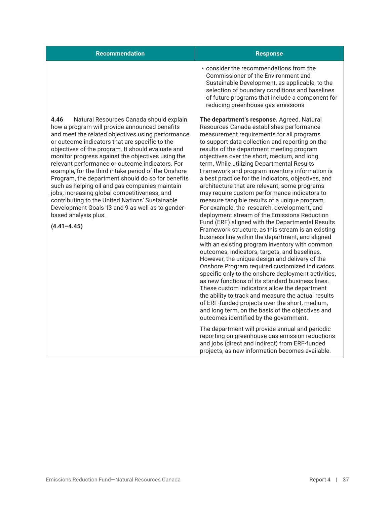| <b>Recommendation</b>                                                                                                                                                                                                                                                                                                                                                                                                                                                                                                                                                                                                                                                                     | <b>Response</b>                                                                                                                                                                                                                                                                                                                                                                                                                                                                                                                                                                                                                                                                            |
|-------------------------------------------------------------------------------------------------------------------------------------------------------------------------------------------------------------------------------------------------------------------------------------------------------------------------------------------------------------------------------------------------------------------------------------------------------------------------------------------------------------------------------------------------------------------------------------------------------------------------------------------------------------------------------------------|--------------------------------------------------------------------------------------------------------------------------------------------------------------------------------------------------------------------------------------------------------------------------------------------------------------------------------------------------------------------------------------------------------------------------------------------------------------------------------------------------------------------------------------------------------------------------------------------------------------------------------------------------------------------------------------------|
|                                                                                                                                                                                                                                                                                                                                                                                                                                                                                                                                                                                                                                                                                           | . consider the recommendations from the<br>Commissioner of the Environment and<br>Sustainable Development, as applicable, to the<br>selection of boundary conditions and baselines<br>of future programs that include a component for<br>reducing greenhouse gas emissions                                                                                                                                                                                                                                                                                                                                                                                                                 |
| 4.46<br>Natural Resources Canada should explain<br>how a program will provide announced benefits<br>and meet the related objectives using performance<br>or outcome indicators that are specific to the<br>objectives of the program. It should evaluate and<br>monitor progress against the objectives using the<br>relevant performance or outcome indicators. For<br>example, for the third intake period of the Onshore<br>Program, the department should do so for benefits<br>such as helping oil and gas companies maintain<br>jobs, increasing global competitiveness, and<br>contributing to the United Nations' Sustainable<br>Development Goals 13 and 9 as well as to gender- | The department's response. Agreed. Natural<br>Resources Canada establishes performance<br>measurement requirements for all programs<br>to support data collection and reporting on the<br>results of the department meeting program<br>objectives over the short, medium, and long<br>term. While utilizing Departmental Results<br>Framework and program inventory information is<br>a best practice for the indicators, objectives, and<br>architecture that are relevant, some programs<br>may require custom performance indicators to<br>measure tangible results of a unique program.<br>For example, the research, development, and<br>deployment stream of the Emissions Reduction |
| $(4.41 - 4.45)$                                                                                                                                                                                                                                                                                                                                                                                                                                                                                                                                                                                                                                                                           | Fund (ERF) aligned with the Departmental Results<br>Framework structure, as this stream is an existing<br>business line within the department, and aligned<br>with an existing program inventory with common                                                                                                                                                                                                                                                                                                                                                                                                                                                                               |

The department will provide annual and periodic reporting on greenhouse gas emission reductions and jobs (direct and indirect) from ERF-funded projects, as new information becomes available.

outcomes identified by the government.

outcomes, indicators, targets, and baselines. However, the unique design and delivery of the Onshore Program required customized indicators specific only to the onshore deployment activities, as new functions of its standard business lines. These custom indicators allow the department the ability to track and measure the actual results of ERF-funded projects over the short, medium, and long term, on the basis of the objectives and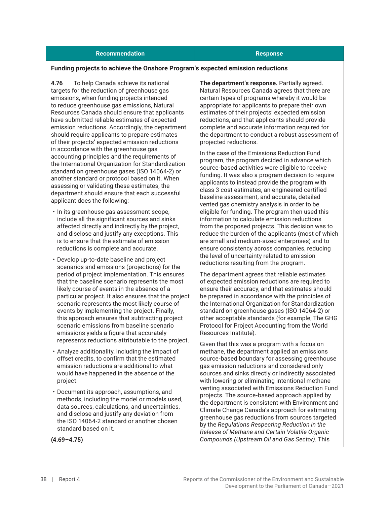#### **Recommendation Response**

#### **Funding projects to achieve the Onshore Program's expected emission reductions**

**4.76** To help Canada achieve its national targets for the reduction of greenhouse gas emissions, when funding projects intended to reduce greenhouse gas emissions, Natural Resources Canada should ensure that applicants have submitted reliable estimates of expected emission reductions. Accordingly, the department should require applicants to prepare estimates of their projects' expected emission reductions in accordance with the greenhouse gas accounting principles and the requirements of the International Organization for Standardization standard on greenhouse gases (ISO 14064-2) or another standard or protocol based on it. When assessing or validating these estimates, the department should ensure that each successful applicant does the following:

- In its greenhouse gas assessment scope, include all the significant sources and sinks affected directly and indirectly by the project, and disclose and justify any exceptions. This is to ensure that the estimate of emission reductions is complete and accurate.
- Develop up-to-date baseline and project scenarios and emissions (projections) for the period of project implementation. This ensures that the baseline scenario represents the most likely course of events in the absence of a particular project. It also ensures that the project scenario represents the most likely course of events by implementing the project. Finally, this approach ensures that subtracting project scenario emissions from baseline scenario emissions yields a figure that accurately represents reductions attributable to the project.
- Analyze additionality, including the impact of offset credits, to confirm that the estimated emission reductions are additional to what would have happened in the absence of the project.
- Document its approach, assumptions, and methods, including the model or models used, data sources, calculations, and uncertainties, and disclose and justify any deviation from the ISO 14064-2 standard or another chosen standard based on it.

**The department's response.** Partially agreed. Natural Resources Canada agrees that there are certain types of programs whereby it would be appropriate for applicants to prepare their own estimates of their projects' expected emission reductions, and that applicants should provide complete and accurate information required for the department to conduct a robust assessment of projected reductions.

In the case of the Emissions Reduction Fund program, the program decided in advance which source-based activities were eligible to receive funding. It was also a program decision to require applicants to instead provide the program with class 3 cost estimates, an engineered certified baseline assessment, and accurate, detailed vented gas chemistry analysis in order to be eligible for funding. The program then used this information to calculate emission reductions from the proposed projects. This decision was to reduce the burden of the applicants (most of which are small and medium-sized enterprises) and to ensure consistency across companies, reducing the level of uncertainty related to emission reductions resulting from the program.

The department agrees that reliable estimates of expected emission reductions are required to ensure their accuracy, and that estimates should be prepared in accordance with the principles of the International Organization for Standardization standard on greenhouse gases (ISO 14064-2) or other acceptable standards (for example, The GHG Protocol for Project Accounting from the World Resources Institute).

Given that this was a program with a focus on methane, the department applied an emissions source-based boundary for assessing greenhouse gas emission reductions and considered only sources and sinks directly or indirectly associated with lowering or eliminating intentional methane venting associated with Emissions Reduction Fund projects. The source-based approach applied by the department is consistent with Environment and Climate Change Canada's approach for estimating greenhouse gas reductions from sources targeted by the *Regulations Respecting Reduction in the Release of Methane and Certain Volatile Organic Compounds (Upstream Oil and Gas Sector)*. This

**(4.69–4.75)**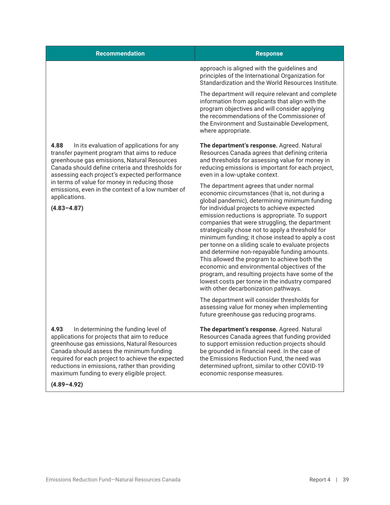| <b>Recommendation</b>                                                                                                                                                                                                                                                                         | <b>Response</b>                                                                                                                                                                                                                                                                                                                                                                                                                                                                                                                                                                                                                                                                                                                                           |
|-----------------------------------------------------------------------------------------------------------------------------------------------------------------------------------------------------------------------------------------------------------------------------------------------|-----------------------------------------------------------------------------------------------------------------------------------------------------------------------------------------------------------------------------------------------------------------------------------------------------------------------------------------------------------------------------------------------------------------------------------------------------------------------------------------------------------------------------------------------------------------------------------------------------------------------------------------------------------------------------------------------------------------------------------------------------------|
|                                                                                                                                                                                                                                                                                               | approach is aligned with the guidelines and<br>principles of the International Organization for<br>Standardization and the World Resources Institute.                                                                                                                                                                                                                                                                                                                                                                                                                                                                                                                                                                                                     |
|                                                                                                                                                                                                                                                                                               | The department will require relevant and complete<br>information from applicants that align with the<br>program objectives and will consider applying<br>the recommendations of the Commissioner of<br>the Environment and Sustainable Development,<br>where appropriate.                                                                                                                                                                                                                                                                                                                                                                                                                                                                                 |
| 4.88<br>In its evaluation of applications for any<br>transfer payment program that aims to reduce<br>greenhouse gas emissions, Natural Resources<br>Canada should define criteria and thresholds for<br>assessing each project's expected performance                                         | The department's response. Agreed. Natural<br>Resources Canada agrees that defining criteria<br>and thresholds for assessing value for money in<br>reducing emissions is important for each project,<br>even in a low-uptake context.                                                                                                                                                                                                                                                                                                                                                                                                                                                                                                                     |
| in terms of value for money in reducing those<br>emissions, even in the context of a low number of<br>applications.<br>$(4.83 - 4.87)$                                                                                                                                                        | The department agrees that under normal<br>economic circumstances (that is, not during a<br>global pandemic), determining minimum funding<br>for individual projects to achieve expected<br>emission reductions is appropriate. To support<br>companies that were struggling, the department<br>strategically chose not to apply a threshold for<br>minimum funding; it chose instead to apply a cost<br>per tonne on a sliding scale to evaluate projects<br>and determine non-repayable funding amounts.<br>This allowed the program to achieve both the<br>economic and environmental objectives of the<br>program, and resulting projects have some of the<br>lowest costs per tonne in the industry compared<br>with other decarbonization pathways. |
|                                                                                                                                                                                                                                                                                               | The department will consider thresholds for<br>assessing value for money when implementing<br>future greenhouse gas reducing programs.                                                                                                                                                                                                                                                                                                                                                                                                                                                                                                                                                                                                                    |
| 4.93<br>In determining the funding level of<br>applications for projects that aim to reduce<br>greenhouse gas emissions, Natural Resources<br>Canada should assess the minimum funding<br>required for each project to achieve the expected<br>reductions in emissions, rather than providing | The department's response. Agreed. Natural<br>Resources Canada agrees that funding provided<br>to support emission reduction projects should<br>be grounded in financial need. In the case of<br>the Emissions Reduction Fund, the need was<br>determined upfront, similar to other COVID-19                                                                                                                                                                                                                                                                                                                                                                                                                                                              |

economic response measures.

**(4.89–4.92)**

maximum funding to every eligible project.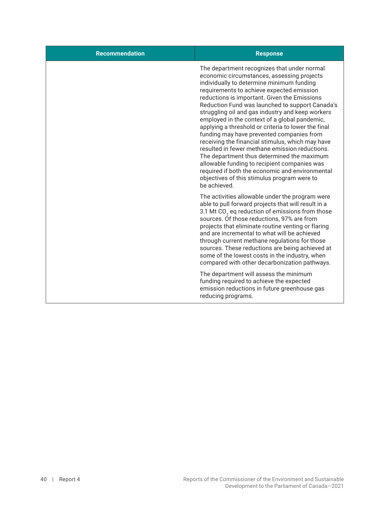| <b>Recommendation</b> | <b>Response</b>                                                                                                                                                                                                                                                                                                                                                                                                                                                                                                                                                                                                                                                                                                                                                                                                       |
|-----------------------|-----------------------------------------------------------------------------------------------------------------------------------------------------------------------------------------------------------------------------------------------------------------------------------------------------------------------------------------------------------------------------------------------------------------------------------------------------------------------------------------------------------------------------------------------------------------------------------------------------------------------------------------------------------------------------------------------------------------------------------------------------------------------------------------------------------------------|
|                       | The department recognizes that under normal<br>economic circumstances, assessing projects<br>individually to determine minimum funding<br>requirements to achieve expected emission<br>reductions is important. Given the Emissions<br>Reduction Fund was launched to support Canada's<br>struggling oil and gas industry and keep workers<br>employed in the context of a global pandemic,<br>applying a threshold or criteria to lower the final<br>funding may have prevented companies from<br>receiving the financial stimulus, which may have<br>resulted in fewer methane emission reductions.<br>The department thus determined the maximum<br>allowable funding to recipient companies was<br>required if both the economic and environmental<br>objectives of this stimulus program were to<br>be achieved. |
|                       | The activities allowable under the program were<br>able to pull forward projects that will result in a<br>3.1 Mt CO <sub>2</sub> eq reduction of emissions from those<br>sources. Of those reductions, 97% are from<br>projects that eliminate routine venting or flaring<br>and are incremental to what will be achieved<br>through current methane regulations for those<br>sources. These reductions are being achieved at<br>some of the lowest costs in the industry, when<br>compared with other decarbonization pathways.                                                                                                                                                                                                                                                                                      |
|                       | The department will assess the minimum<br>funding required to achieve the expected<br>emission reductions in future greenhouse gas<br>reducing programs.                                                                                                                                                                                                                                                                                                                                                                                                                                                                                                                                                                                                                                                              |